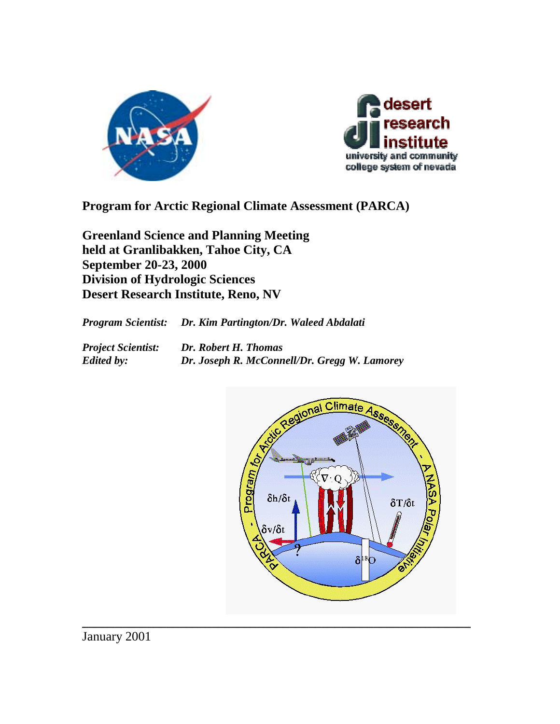



**Program for Arctic Regional Climate Assessment (PARCA)** 

**Greenland Science and Planning Meeting held at Granlibakken, Tahoe City, CA September 20-23, 2000 Division of Hydrologic Sciences Desert Research Institute, Reno, NV** 

*Program Scientist: Dr. Kim Partington/Dr. Waleed Abdalati* 

*Project Scientist: Dr. Robert H. Thomas* 

*Edited by: Dr. Joseph R. McConnell/Dr. Gregg W. Lamorey* 



January 2001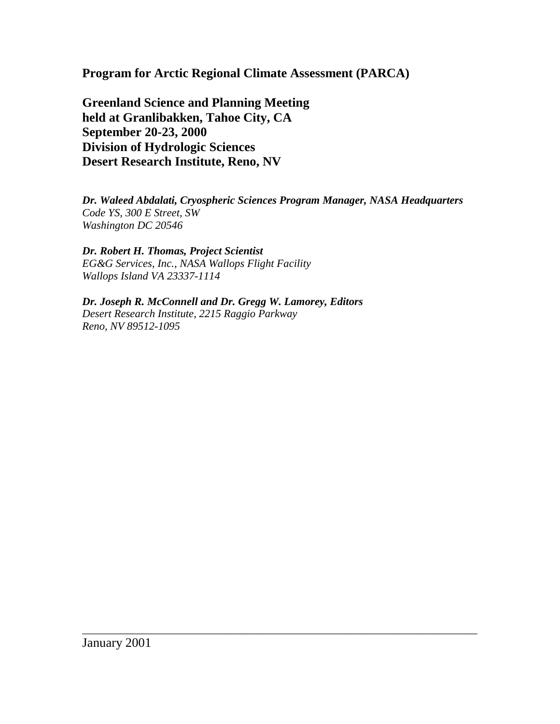**Program for Arctic Regional Climate Assessment (PARCA)** 

**Greenland Science and Planning Meeting held at Granlibakken, Tahoe City, CA September 20-23, 2000 Division of Hydrologic Sciences Desert Research Institute, Reno, NV** 

*Dr. Waleed Abdalati, Cryospheric Sciences Program Manager, NASA Headquarters Code YS, 300 E Street, SW Washington DC 20546*

\_\_\_\_\_\_\_\_\_\_\_\_\_\_\_\_\_\_\_\_\_\_\_\_\_\_\_\_\_\_\_\_\_\_\_\_\_\_\_\_\_\_\_\_\_\_\_\_\_\_\_\_\_\_\_\_\_\_\_\_\_\_\_\_\_\_\_\_\_\_\_\_

*Dr. Robert H. Thomas, Project Scientist EG&G Services, Inc., NASA Wallops Flight Facility Wallops Island VA 23337-1114* 

*Dr. Joseph R. McConnell and Dr. Gregg W. Lamorey, Editors Desert Research Institute, 2215 Raggio Parkway Reno, NV 89512-1095*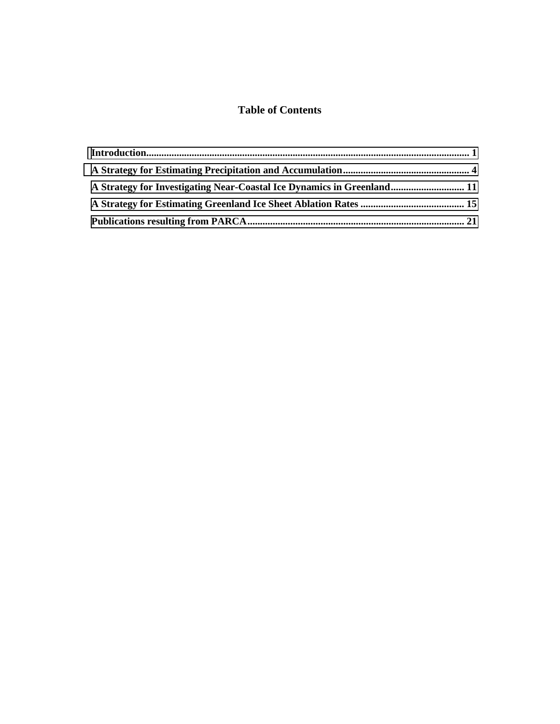# **Table of Contents**

| A Strategy for Investigating Near-Coastal Ice Dynamics in Greenland 11 |  |
|------------------------------------------------------------------------|--|
|                                                                        |  |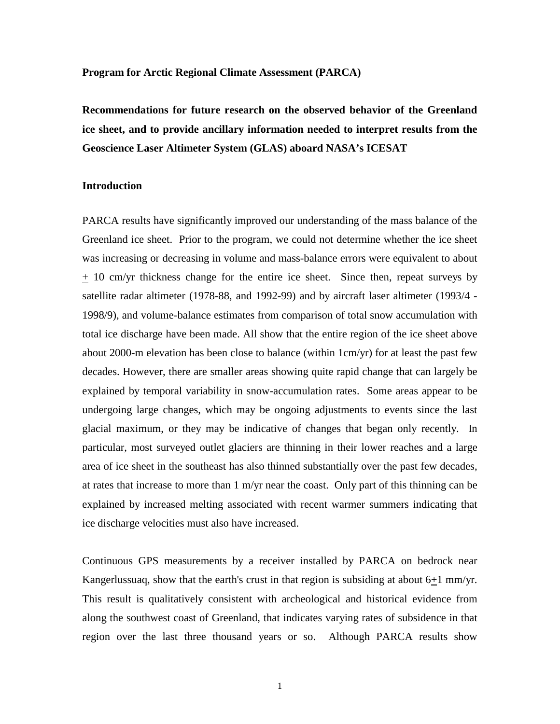<span id="page-3-0"></span>**Program for Arctic Regional Climate Assessment (PARCA)** 

**Recommendations for future research on the observed behavior of the Greenland ice sheet, and to provide ancillary information needed to interpret results from the Geoscience Laser Altimeter System (GLAS) aboard NASA's ICESAT** 

### **Introduction**

PARCA results have significantly improved our understanding of the mass balance of the Greenland ice sheet. Prior to the program, we could not determine whether the ice sheet was increasing or decreasing in volume and mass-balance errors were equivalent to about + 10 cm/yr thickness change for the entire ice sheet. Since then, repeat surveys by satellite radar altimeter (1978-88, and 1992-99) and by aircraft laser altimeter (1993/4 - 1998/9), and volume-balance estimates from comparison of total snow accumulation with total ice discharge have been made. All show that the entire region of the ice sheet above about 2000-m elevation has been close to balance (within 1cm/yr) for at least the past few decades. However, there are smaller areas showing quite rapid change that can largely be explained by temporal variability in snow-accumulation rates. Some areas appear to be undergoing large changes, which may be ongoing adjustments to events since the last glacial maximum, or they may be indicative of changes that began only recently. In particular, most surveyed outlet glaciers are thinning in their lower reaches and a large area of ice sheet in the southeast has also thinned substantially over the past few decades, at rates that increase to more than  $1 \text{ m/yr}$  near the coast. Only part of this thinning can be explained by increased melting associated with recent warmer summers indicating that ice discharge velocities must also have increased.

Continuous GPS measurements by a receiver installed by PARCA on bedrock near Kangerlussuaq, show that the earth's crust in that region is subsiding at about  $6+1$  mm/yr. This result is qualitatively consistent with archeological and historical evidence from along the southwest coast of Greenland, that indicates varying rates of subsidence in that region over the last three thousand years or so. Although PARCA results show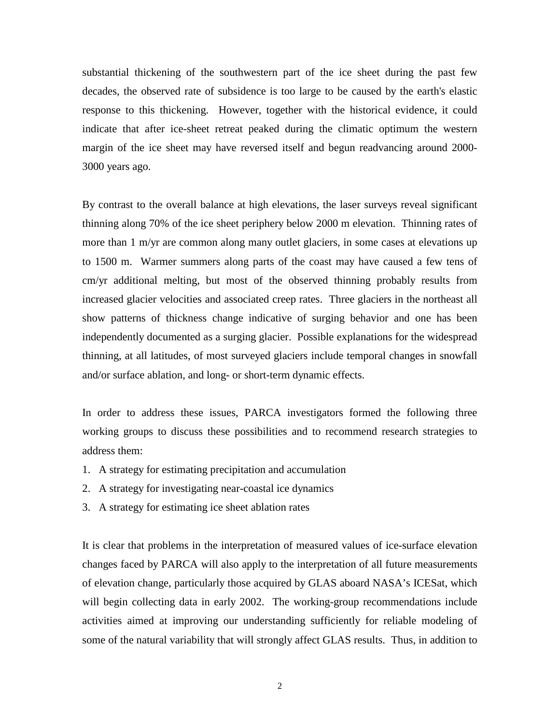substantial thickening of the southwestern part of the ice sheet during the past few decades, the observed rate of subsidence is too large to be caused by the earth's elastic response to this thickening. However, together with the historical evidence, it could indicate that after ice-sheet retreat peaked during the climatic optimum the western margin of the ice sheet may have reversed itself and begun readvancing around 2000- 3000 years ago.

By contrast to the overall balance at high elevations, the laser surveys reveal significant thinning along 70% of the ice sheet periphery below 2000 m elevation. Thinning rates of more than 1 m/yr are common along many outlet glaciers, in some cases at elevations up to 1500 m. Warmer summers along parts of the coast may have caused a few tens of cm/yr additional melting, but most of the observed thinning probably results from increased glacier velocities and associated creep rates. Three glaciers in the northeast all show patterns of thickness change indicative of surging behavior and one has been independently documented as a surging glacier. Possible explanations for the widespread thinning, at all latitudes, of most surveyed glaciers include temporal changes in snowfall and/or surface ablation, and long- or short-term dynamic effects.

In order to address these issues, PARCA investigators formed the following three working groups to discuss these possibilities and to recommend research strategies to address them:

- 1. A strategy for estimating precipitation and accumulation
- 2. A strategy for investigating near-coastal ice dynamics
- 3. A strategy for estimating ice sheet ablation rates

It is clear that problems in the interpretation of measured values of ice-surface elevation changes faced by PARCA will also apply to the interpretation of all future measurements of elevation change, particularly those acquired by GLAS aboard NASA's ICESat, which will begin collecting data in early 2002. The working-group recommendations include activities aimed at improving our understanding sufficiently for reliable modeling of some of the natural variability that will strongly affect GLAS results. Thus, in addition to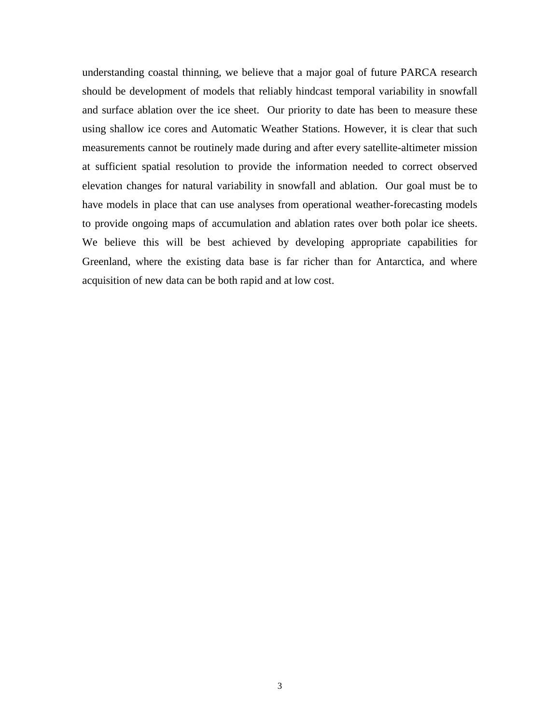understanding coastal thinning, we believe that a major goal of future PARCA research should be development of models that reliably hindcast temporal variability in snowfall and surface ablation over the ice sheet. Our priority to date has been to measure these using shallow ice cores and Automatic Weather Stations. However, it is clear that such measurements cannot be routinely made during and after every satellite-altimeter mission at sufficient spatial resolution to provide the information needed to correct observed elevation changes for natural variability in snowfall and ablation. Our goal must be to have models in place that can use analyses from operational weather-forecasting models to provide ongoing maps of accumulation and ablation rates over both polar ice sheets. We believe this will be best achieved by developing appropriate capabilities for Greenland, where the existing data base is far richer than for Antarctica, and where acquisition of new data can be both rapid and at low cost.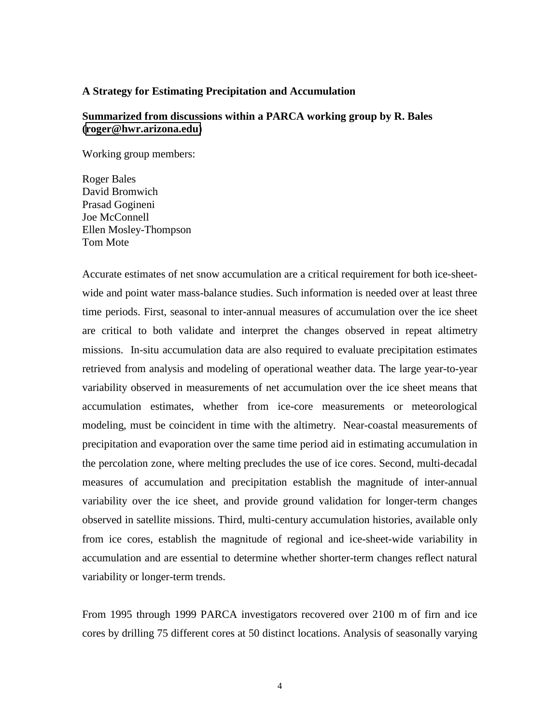### <span id="page-6-0"></span>**A Strategy for Estimating Precipitation and Accumulation**

## **Summarized from discussions within a PARCA working group by R. Bales ([roger@hwr.arizona.edu\)](mailto:roger@hwr.arizona.edu)**

Working group members:

Roger Bales David Bromwich Prasad Gogineni Joe McConnell Ellen Mosley-Thompson Tom Mote

Accurate estimates of net snow accumulation are a critical requirement for both ice-sheetwide and point water mass-balance studies. Such information is needed over at least three time periods. First, seasonal to inter-annual measures of accumulation over the ice sheet are critical to both validate and interpret the changes observed in repeat altimetry missions. In-situ accumulation data are also required to evaluate precipitation estimates retrieved from analysis and modeling of operational weather data. The large year-to-year variability observed in measurements of net accumulation over the ice sheet means that accumulation estimates, whether from ice-core measurements or meteorological modeling, must be coincident in time with the altimetry. Near-coastal measurements of precipitation and evaporation over the same time period aid in estimating accumulation in the percolation zone, where melting precludes the use of ice cores. Second, multi-decadal measures of accumulation and precipitation establish the magnitude of inter-annual variability over the ice sheet, and provide ground validation for longer-term changes observed in satellite missions. Third, multi-century accumulation histories, available only from ice cores, establish the magnitude of regional and ice-sheet-wide variability in accumulation and are essential to determine whether shorter-term changes reflect natural variability or longer-term trends.

From 1995 through 1999 PARCA investigators recovered over 2100 m of firn and ice cores by drilling 75 different cores at 50 distinct locations. Analysis of seasonally varying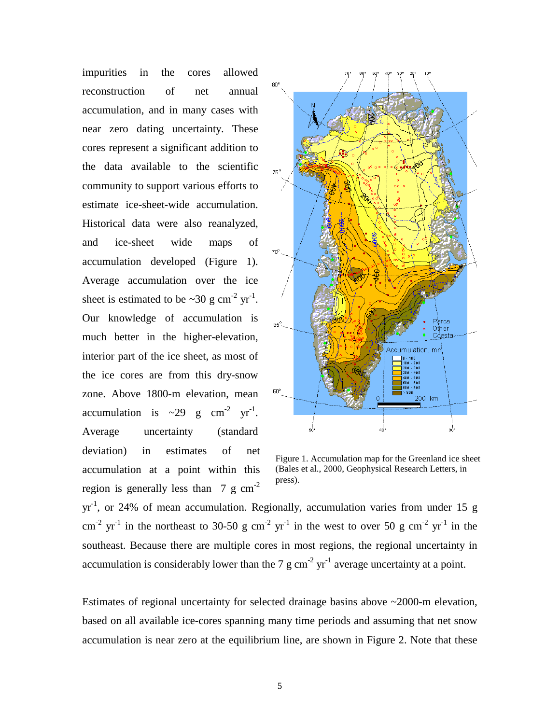impurities in the cores allowed reconstruction of net annual accumulation, and in many cases with near zero dating uncertainty. These cores represent a significant addition to the data available to the scientific community to support various efforts to estimate ice-sheet-wide accumulation. Historical data were also reanalyzed, and ice-sheet wide maps of accumulation developed (Figure 1). Average accumulation over the ice sheet is estimated to be  $\sim 30$  g cm<sup>-2</sup> yr<sup>-1</sup>. Our knowledge of accumulation is much better in the higher-elevation, interior part of the ice sheet, as most of the ice cores are from this dry-snow zone. Above 1800-m elevation, mean accumulation is ~29 g  $cm^{-2}$  yr<sup>-1</sup>. Average uncertainty (standard deviation) in estimates of net accumulation at a point within this region is generally less than  $7 \text{ g cm}^{-2}$ 



Figure 1. Accumulation map for the Greenland ice sheet (Bales et al., 2000, Geophysical Research Letters, in press).

 $yr^{-1}$ , or 24% of mean accumulation. Regionally, accumulation varies from under 15 g  $\text{cm}^{-2}$  yr<sup>-1</sup> in the northeast to 30-50 g cm<sup>-2</sup> yr<sup>-1</sup> in the west to over 50 g cm<sup>-2</sup> yr<sup>-1</sup> in the southeast. Because there are multiple cores in most regions, the regional uncertainty in accumulation is considerably lower than the 7  $\rm g \, cm^{-2} \, yr^{-1}$  average uncertainty at a point.

Estimates of regional uncertainty for selected drainage basins above ~2000-m elevation, based on all available ice-cores spanning many time periods and assuming that net snow accumulation is near zero at the equilibrium line, are shown in Figure 2. Note that these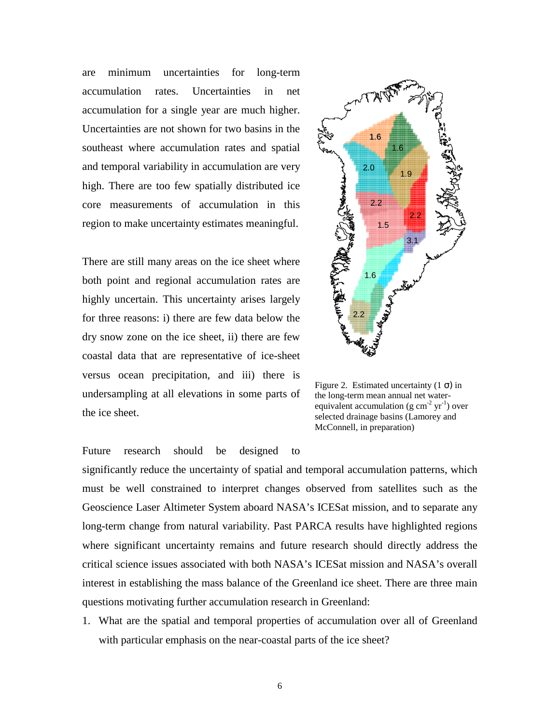are minimum uncertainties for long-term accumulation rates. Uncertainties in net accumulation for a single year are much higher. Uncertainties are not shown for two basins in the southeast where accumulation rates and spatial and temporal variability in accumulation are very high. There are too few spatially distributed ice core measurements of accumulation in this region to make uncertainty estimates meaningful.

There are still many areas on the ice sheet where both point and regional accumulation rates are highly uncertain. This uncertainty arises largely for three reasons: i) there are few data below the dry snow zone on the ice sheet, ii) there are few coastal data that are representative of ice-sheet versus ocean precipitation, and iii) there is undersampling at all elevations in some parts of the ice sheet.

Future research should be designed to



Figure 2. Estimated uncertainty  $(1 \sigma)$  in the long-term mean annual net waterequivalent accumulation (g  $cm<sup>-2</sup> yr<sup>-1</sup>$ ) over selected drainage basins (Lamorey and McConnell, in preparation)

significantly reduce the uncertainty of spatial and temporal accumulation patterns, which must be well constrained to interpret changes observed from satellites such as the Geoscience Laser Altimeter System aboard NASA's ICESat mission, and to separate any long-term change from natural variability. Past PARCA results have highlighted regions where significant uncertainty remains and future research should directly address the critical science issues associated with both NASA's ICESat mission and NASA's overall interest in establishing the mass balance of the Greenland ice sheet. There are three main questions motivating further accumulation research in Greenland:

1. What are the spatial and temporal properties of accumulation over all of Greenland with particular emphasis on the near-coastal parts of the ice sheet?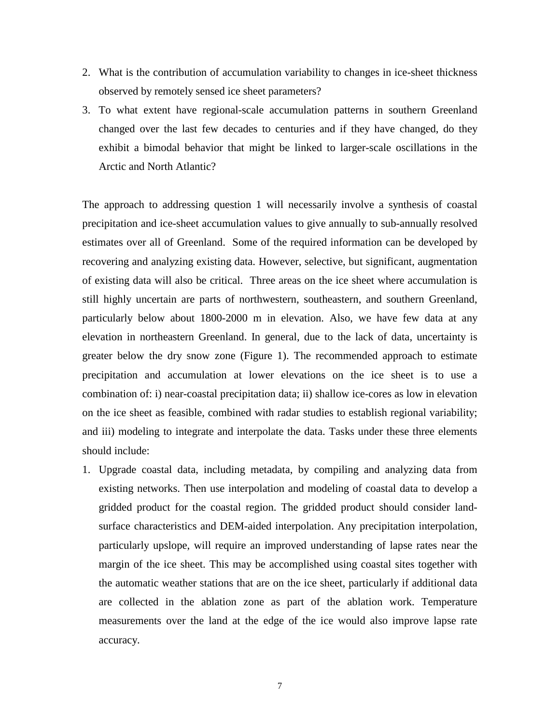- 2. What is the contribution of accumulation variability to changes in ice-sheet thickness observed by remotely sensed ice sheet parameters?
- 3. To what extent have regional-scale accumulation patterns in southern Greenland changed over the last few decades to centuries and if they have changed, do they exhibit a bimodal behavior that might be linked to larger-scale oscillations in the Arctic and North Atlantic?

The approach to addressing question 1 will necessarily involve a synthesis of coastal precipitation and ice-sheet accumulation values to give annually to sub-annually resolved estimates over all of Greenland. Some of the required information can be developed by recovering and analyzing existing data. However, selective, but significant, augmentation of existing data will also be critical. Three areas on the ice sheet where accumulation is still highly uncertain are parts of northwestern, southeastern, and southern Greenland, particularly below about 1800-2000 m in elevation. Also, we have few data at any elevation in northeastern Greenland. In general, due to the lack of data, uncertainty is greater below the dry snow zone (Figure 1). The recommended approach to estimate precipitation and accumulation at lower elevations on the ice sheet is to use a combination of: i) near-coastal precipitation data; ii) shallow ice-cores as low in elevation on the ice sheet as feasible, combined with radar studies to establish regional variability; and iii) modeling to integrate and interpolate the data. Tasks under these three elements should include:

1. Upgrade coastal data, including metadata, by compiling and analyzing data from existing networks. Then use interpolation and modeling of coastal data to develop a gridded product for the coastal region. The gridded product should consider landsurface characteristics and DEM-aided interpolation. Any precipitation interpolation, particularly upslope, will require an improved understanding of lapse rates near the margin of the ice sheet. This may be accomplished using coastal sites together with the automatic weather stations that are on the ice sheet, particularly if additional data are collected in the ablation zone as part of the ablation work. Temperature measurements over the land at the edge of the ice would also improve lapse rate accuracy.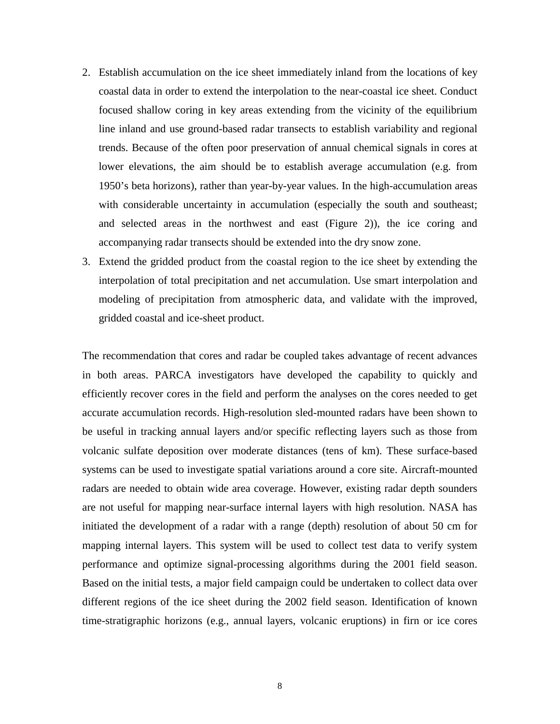- 2. Establish accumulation on the ice sheet immediately inland from the locations of key coastal data in order to extend the interpolation to the near-coastal ice sheet. Conduct focused shallow coring in key areas extending from the vicinity of the equilibrium line inland and use ground-based radar transects to establish variability and regional trends. Because of the often poor preservation of annual chemical signals in cores at lower elevations, the aim should be to establish average accumulation (e.g. from 1950's beta horizons), rather than year-by-year values. In the high-accumulation areas with considerable uncertainty in accumulation (especially the south and southeast; and selected areas in the northwest and east (Figure 2)), the ice coring and accompanying radar transects should be extended into the dry snow zone.
- 3. Extend the gridded product from the coastal region to the ice sheet by extending the interpolation of total precipitation and net accumulation. Use smart interpolation and modeling of precipitation from atmospheric data, and validate with the improved, gridded coastal and ice-sheet product.

The recommendation that cores and radar be coupled takes advantage of recent advances in both areas. PARCA investigators have developed the capability to quickly and efficiently recover cores in the field and perform the analyses on the cores needed to get accurate accumulation records. High-resolution sled-mounted radars have been shown to be useful in tracking annual layers and/or specific reflecting layers such as those from volcanic sulfate deposition over moderate distances (tens of km). These surface-based systems can be used to investigate spatial variations around a core site. Aircraft-mounted radars are needed to obtain wide area coverage. However, existing radar depth sounders are not useful for mapping near-surface internal layers with high resolution. NASA has initiated the development of a radar with a range (depth) resolution of about 50 cm for mapping internal layers. This system will be used to collect test data to verify system performance and optimize signal-processing algorithms during the 2001 field season. Based on the initial tests, a major field campaign could be undertaken to collect data over different regions of the ice sheet during the 2002 field season. Identification of known time-stratigraphic horizons (e.g., annual layers, volcanic eruptions) in firn or ice cores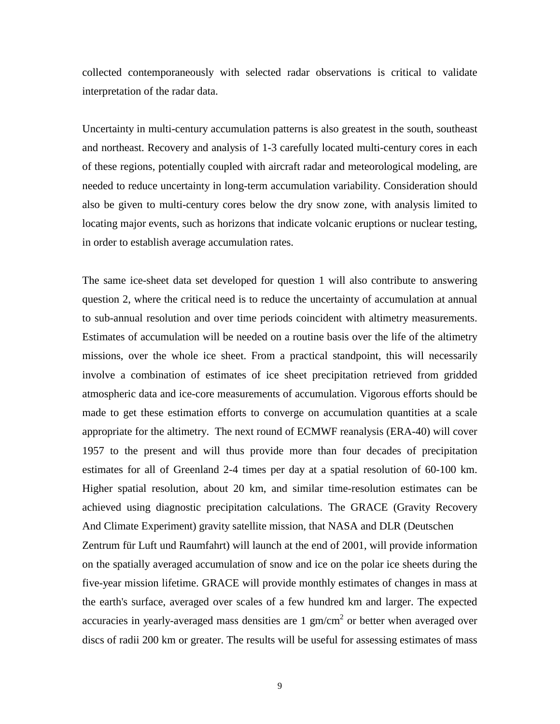collected contemporaneously with selected radar observations is critical to validate interpretation of the radar data.

Uncertainty in multi-century accumulation patterns is also greatest in the south, southeast and northeast. Recovery and analysis of 1-3 carefully located multi-century cores in each of these regions, potentially coupled with aircraft radar and meteorological modeling, are needed to reduce uncertainty in long-term accumulation variability. Consideration should also be given to multi-century cores below the dry snow zone, with analysis limited to locating major events, such as horizons that indicate volcanic eruptions or nuclear testing, in order to establish average accumulation rates.

The same ice-sheet data set developed for question 1 will also contribute to answering question 2, where the critical need is to reduce the uncertainty of accumulation at annual to sub-annual resolution and over time periods coincident with altimetry measurements. Estimates of accumulation will be needed on a routine basis over the life of the altimetry missions, over the whole ice sheet. From a practical standpoint, this will necessarily involve a combination of estimates of ice sheet precipitation retrieved from gridded atmospheric data and ice-core measurements of accumulation. Vigorous efforts should be made to get these estimation efforts to converge on accumulation quantities at a scale appropriate for the altimetry. The next round of ECMWF reanalysis (ERA-40) will cover 1957 to the present and will thus provide more than four decades of precipitation estimates for all of Greenland 2-4 times per day at a spatial resolution of 60-100 km. Higher spatial resolution, about 20 km, and similar time-resolution estimates can be achieved using diagnostic precipitation calculations. The GRACE (Gravity Recovery And Climate Experiment) gravity satellite mission, that NASA and DLR (Deutschen Zentrum für Luft und Raumfahrt) will launch at the end of 2001, will provide information on the spatially averaged accumulation of snow and ice on the polar ice sheets during the five-year mission lifetime. GRACE will provide monthly estimates of changes in mass at the earth's surface, averaged over scales of a few hundred km and larger. The expected accuracies in yearly-averaged mass densities are 1  $\text{gm/cm}^2$  or better when averaged over discs of radii 200 km or greater. The results will be useful for assessing estimates of mass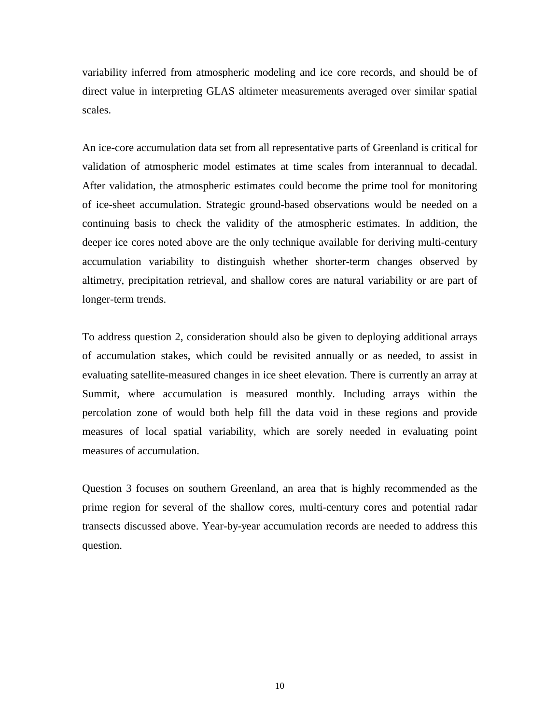variability inferred from atmospheric modeling and ice core records, and should be of direct value in interpreting GLAS altimeter measurements averaged over similar spatial scales.

An ice-core accumulation data set from all representative parts of Greenland is critical for validation of atmospheric model estimates at time scales from interannual to decadal. After validation, the atmospheric estimates could become the prime tool for monitoring of ice-sheet accumulation. Strategic ground-based observations would be needed on a continuing basis to check the validity of the atmospheric estimates. In addition, the deeper ice cores noted above are the only technique available for deriving multi-century accumulation variability to distinguish whether shorter-term changes observed by altimetry, precipitation retrieval, and shallow cores are natural variability or are part of longer-term trends.

To address question 2, consideration should also be given to deploying additional arrays of accumulation stakes, which could be revisited annually or as needed, to assist in evaluating satellite-measured changes in ice sheet elevation. There is currently an array at Summit, where accumulation is measured monthly. Including arrays within the percolation zone of would both help fill the data void in these regions and provide measures of local spatial variability, which are sorely needed in evaluating point measures of accumulation.

Question 3 focuses on southern Greenland, an area that is highly recommended as the prime region for several of the shallow cores, multi-century cores and potential radar transects discussed above. Year-by-year accumulation records are needed to address this question.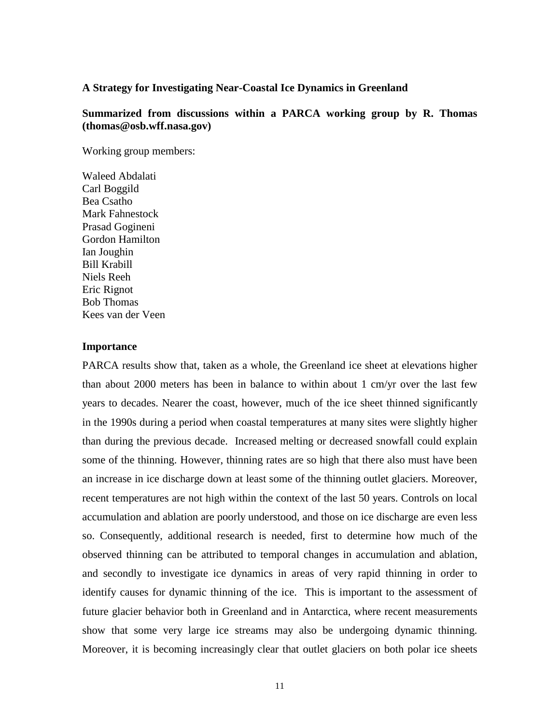### <span id="page-13-0"></span>**A Strategy for Investigating Near-Coastal Ice Dynamics in Greenland**

## **Summarized from discussions within a PARCA working group by R. Thomas (thomas@osb.wff.nasa.gov)**

Working group members:

Waleed Abdalati Carl Boggild Bea Csatho Mark Fahnestock Prasad Gogineni Gordon Hamilton Ian Joughin Bill Krabill Niels Reeh Eric Rignot Bob Thomas Kees van der Veen

#### **Importance**

PARCA results show that, taken as a whole, the Greenland ice sheet at elevations higher than about 2000 meters has been in balance to within about 1 cm/yr over the last few years to decades. Nearer the coast, however, much of the ice sheet thinned significantly in the 1990s during a period when coastal temperatures at many sites were slightly higher than during the previous decade. Increased melting or decreased snowfall could explain some of the thinning. However, thinning rates are so high that there also must have been an increase in ice discharge down at least some of the thinning outlet glaciers. Moreover, recent temperatures are not high within the context of the last 50 years. Controls on local accumulation and ablation are poorly understood, and those on ice discharge are even less so. Consequently, additional research is needed, first to determine how much of the observed thinning can be attributed to temporal changes in accumulation and ablation, and secondly to investigate ice dynamics in areas of very rapid thinning in order to identify causes for dynamic thinning of the ice. This is important to the assessment of future glacier behavior both in Greenland and in Antarctica, where recent measurements show that some very large ice streams may also be undergoing dynamic thinning. Moreover, it is becoming increasingly clear that outlet glaciers on both polar ice sheets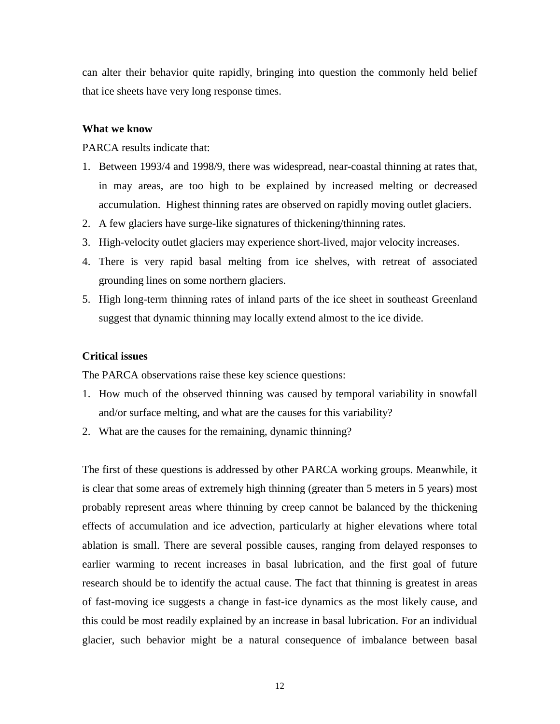can alter their behavior quite rapidly, bringing into question the commonly held belief that ice sheets have very long response times.

### **What we know**

PARCA results indicate that:

- 1. Between 1993/4 and 1998/9, there was widespread, near-coastal thinning at rates that, in may areas, are too high to be explained by increased melting or decreased accumulation. Highest thinning rates are observed on rapidly moving outlet glaciers.
- 2. A few glaciers have surge-like signatures of thickening/thinning rates.
- 3. High-velocity outlet glaciers may experience short-lived, major velocity increases.
- 4. There is very rapid basal melting from ice shelves, with retreat of associated grounding lines on some northern glaciers.
- 5. High long-term thinning rates of inland parts of the ice sheet in southeast Greenland suggest that dynamic thinning may locally extend almost to the ice divide.

### **Critical issues**

The PARCA observations raise these key science questions:

- 1. How much of the observed thinning was caused by temporal variability in snowfall and/or surface melting, and what are the causes for this variability?
- 2. What are the causes for the remaining, dynamic thinning?

The first of these questions is addressed by other PARCA working groups. Meanwhile, it is clear that some areas of extremely high thinning (greater than 5 meters in 5 years) most probably represent areas where thinning by creep cannot be balanced by the thickening effects of accumulation and ice advection, particularly at higher elevations where total ablation is small. There are several possible causes, ranging from delayed responses to earlier warming to recent increases in basal lubrication, and the first goal of future research should be to identify the actual cause. The fact that thinning is greatest in areas of fast-moving ice suggests a change in fast-ice dynamics as the most likely cause, and this could be most readily explained by an increase in basal lubrication. For an individual glacier, such behavior might be a natural consequence of imbalance between basal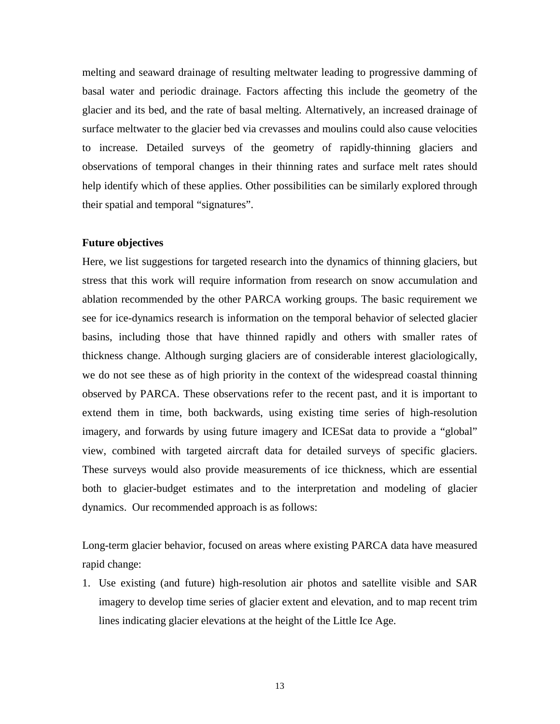melting and seaward drainage of resulting meltwater leading to progressive damming of basal water and periodic drainage. Factors affecting this include the geometry of the glacier and its bed, and the rate of basal melting. Alternatively, an increased drainage of surface meltwater to the glacier bed via crevasses and moulins could also cause velocities to increase. Detailed surveys of the geometry of rapidly-thinning glaciers and observations of temporal changes in their thinning rates and surface melt rates should help identify which of these applies. Other possibilities can be similarly explored through their spatial and temporal "signatures".

### **Future objectives**

Here, we list suggestions for targeted research into the dynamics of thinning glaciers, but stress that this work will require information from research on snow accumulation and ablation recommended by the other PARCA working groups. The basic requirement we see for ice-dynamics research is information on the temporal behavior of selected glacier basins, including those that have thinned rapidly and others with smaller rates of thickness change. Although surging glaciers are of considerable interest glaciologically, we do not see these as of high priority in the context of the widespread coastal thinning observed by PARCA. These observations refer to the recent past, and it is important to extend them in time, both backwards, using existing time series of high-resolution imagery, and forwards by using future imagery and ICESat data to provide a "global" view, combined with targeted aircraft data for detailed surveys of specific glaciers. These surveys would also provide measurements of ice thickness, which are essential both to glacier-budget estimates and to the interpretation and modeling of glacier dynamics. Our recommended approach is as follows:

Long-term glacier behavior, focused on areas where existing PARCA data have measured rapid change:

1. Use existing (and future) high-resolution air photos and satellite visible and SAR imagery to develop time series of glacier extent and elevation, and to map recent trim lines indicating glacier elevations at the height of the Little Ice Age.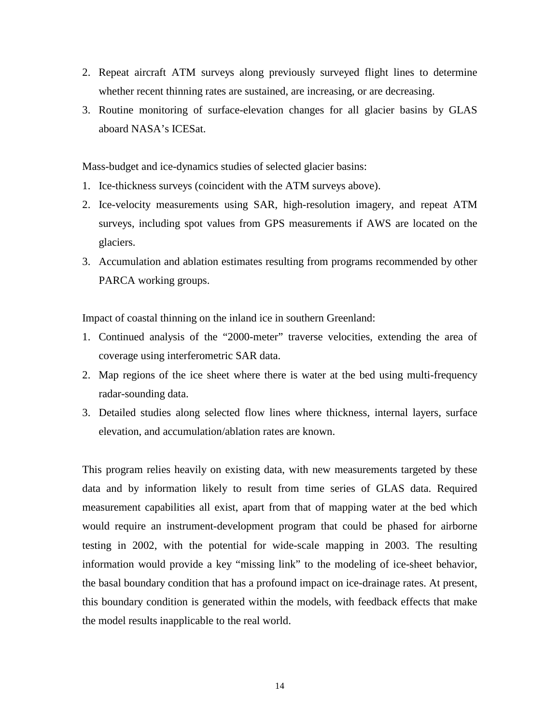- 2. Repeat aircraft ATM surveys along previously surveyed flight lines to determine whether recent thinning rates are sustained, are increasing, or are decreasing.
- 3. Routine monitoring of surface-elevation changes for all glacier basins by GLAS aboard NASA's ICESat.

Mass-budget and ice-dynamics studies of selected glacier basins:

- 1. Ice-thickness surveys (coincident with the ATM surveys above).
- 2. Ice-velocity measurements using SAR, high-resolution imagery, and repeat ATM surveys, including spot values from GPS measurements if AWS are located on the glaciers.
- 3. Accumulation and ablation estimates resulting from programs recommended by other PARCA working groups.

Impact of coastal thinning on the inland ice in southern Greenland:

- 1. Continued analysis of the "2000-meter" traverse velocities, extending the area of coverage using interferometric SAR data.
- 2. Map regions of the ice sheet where there is water at the bed using multi-frequency radar-sounding data.
- 3. Detailed studies along selected flow lines where thickness, internal layers, surface elevation, and accumulation/ablation rates are known.

This program relies heavily on existing data, with new measurements targeted by these data and by information likely to result from time series of GLAS data. Required measurement capabilities all exist, apart from that of mapping water at the bed which would require an instrument-development program that could be phased for airborne testing in 2002, with the potential for wide-scale mapping in 2003. The resulting information would provide a key "missing link" to the modeling of ice-sheet behavior, the basal boundary condition that has a profound impact on ice-drainage rates. At present, this boundary condition is generated within the models, with feedback effects that make the model results inapplicable to the real world.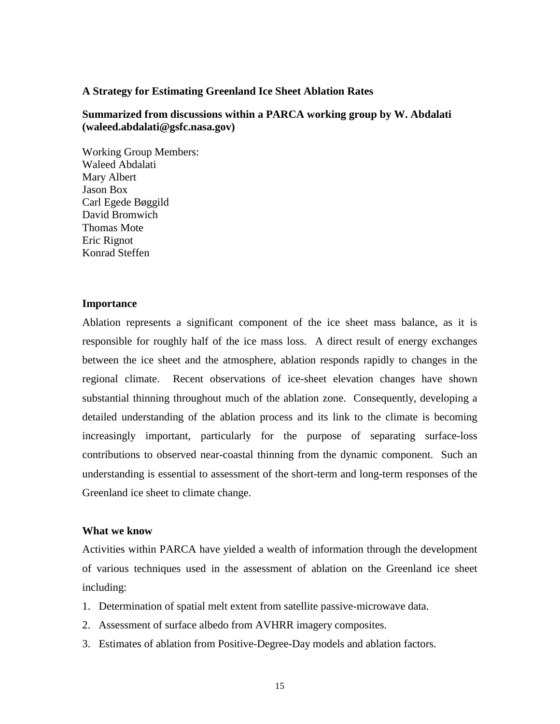### <span id="page-17-0"></span>**A Strategy for Estimating Greenland Ice Sheet Ablation Rates**

## **Summarized from discussions within a PARCA working group by W. Abdalati (waleed.abdalati@gsfc.nasa.gov)**

Working Group Members: Waleed Abdalati Mary Albert Jason Box Carl Egede Bøggild David Bromwich Thomas Mote Eric Rignot Konrad Steffen

#### **Importance**

Ablation represents a significant component of the ice sheet mass balance, as it is responsible for roughly half of the ice mass loss. A direct result of energy exchanges between the ice sheet and the atmosphere, ablation responds rapidly to changes in the regional climate. Recent observations of ice-sheet elevation changes have shown substantial thinning throughout much of the ablation zone. Consequently, developing a detailed understanding of the ablation process and its link to the climate is becoming increasingly important, particularly for the purpose of separating surface-loss contributions to observed near-coastal thinning from the dynamic component. Such an understanding is essential to assessment of the short-term and long-term responses of the Greenland ice sheet to climate change.

### **What we know**

Activities within PARCA have yielded a wealth of information through the development of various techniques used in the assessment of ablation on the Greenland ice sheet including:

- 1. Determination of spatial melt extent from satellite passive-microwave data.
- 2. Assessment of surface albedo from AVHRR imagery composites.
- 3. Estimates of ablation from Positive-Degree-Day models and ablation factors.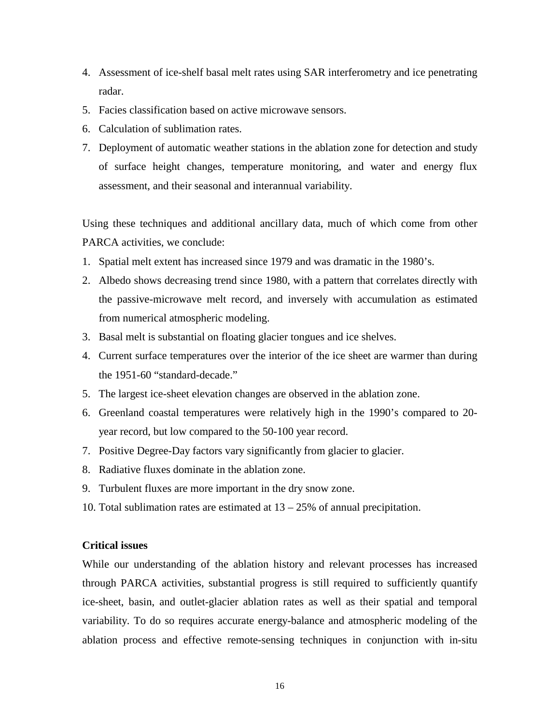- 4. Assessment of ice-shelf basal melt rates using SAR interferometry and ice penetrating radar.
- 5. Facies classification based on active microwave sensors.
- 6. Calculation of sublimation rates.
- 7. Deployment of automatic weather stations in the ablation zone for detection and study of surface height changes, temperature monitoring, and water and energy flux assessment, and their seasonal and interannual variability.

Using these techniques and additional ancillary data, much of which come from other PARCA activities, we conclude:

- 1. Spatial melt extent has increased since 1979 and was dramatic in the 1980's.
- 2. Albedo shows decreasing trend since 1980, with a pattern that correlates directly with the passive-microwave melt record, and inversely with accumulation as estimated from numerical atmospheric modeling.
- 3. Basal melt is substantial on floating glacier tongues and ice shelves.
- 4. Current surface temperatures over the interior of the ice sheet are warmer than during the 1951-60 "standard-decade."
- 5. The largest ice-sheet elevation changes are observed in the ablation zone.
- 6. Greenland coastal temperatures were relatively high in the 1990's compared to 20 year record, but low compared to the 50-100 year record.
- 7. Positive Degree-Day factors vary significantly from glacier to glacier.
- 8. Radiative fluxes dominate in the ablation zone.
- 9. Turbulent fluxes are more important in the dry snow zone.
- 10. Total sublimation rates are estimated at 13 25% of annual precipitation.

## **Critical issues**

While our understanding of the ablation history and relevant processes has increased through PARCA activities, substantial progress is still required to sufficiently quantify ice-sheet, basin, and outlet-glacier ablation rates as well as their spatial and temporal variability. To do so requires accurate energy-balance and atmospheric modeling of the ablation process and effective remote-sensing techniques in conjunction with in-situ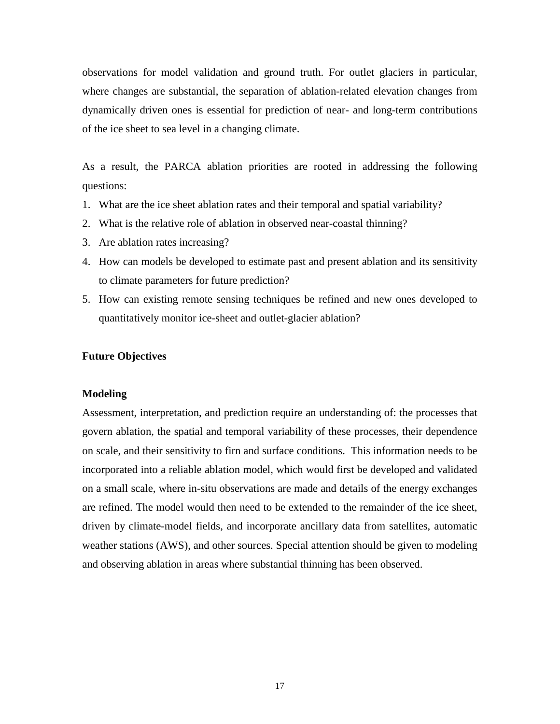observations for model validation and ground truth. For outlet glaciers in particular, where changes are substantial, the separation of ablation-related elevation changes from dynamically driven ones is essential for prediction of near- and long-term contributions of the ice sheet to sea level in a changing climate.

As a result, the PARCA ablation priorities are rooted in addressing the following questions:

- 1. What are the ice sheet ablation rates and their temporal and spatial variability?
- 2. What is the relative role of ablation in observed near-coastal thinning?
- 3. Are ablation rates increasing?
- 4. How can models be developed to estimate past and present ablation and its sensitivity to climate parameters for future prediction?
- 5. How can existing remote sensing techniques be refined and new ones developed to quantitatively monitor ice-sheet and outlet-glacier ablation?

## **Future Objectives**

### **Modeling**

Assessment, interpretation, and prediction require an understanding of: the processes that govern ablation, the spatial and temporal variability of these processes, their dependence on scale, and their sensitivity to firn and surface conditions. This information needs to be incorporated into a reliable ablation model, which would first be developed and validated on a small scale, where in-situ observations are made and details of the energy exchanges are refined. The model would then need to be extended to the remainder of the ice sheet, driven by climate-model fields, and incorporate ancillary data from satellites, automatic weather stations (AWS), and other sources. Special attention should be given to modeling and observing ablation in areas where substantial thinning has been observed.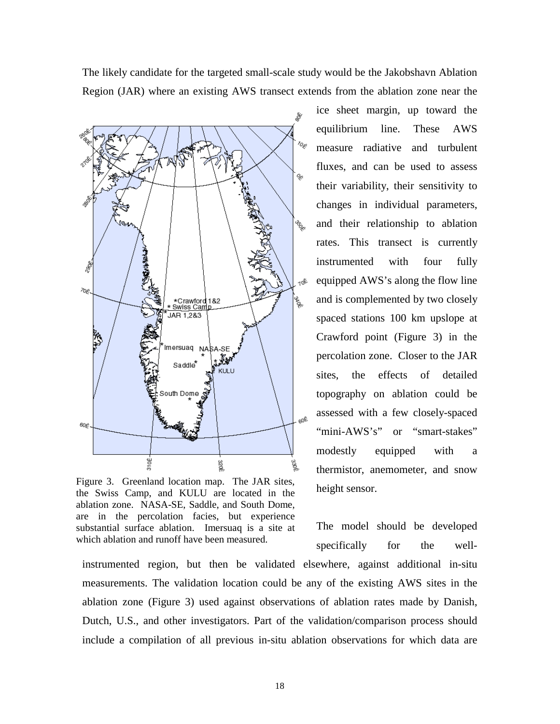The likely candidate for the targeted small-scale study would be the Jakobshavn Ablation Region (JAR) where an existing AWS transect extends from the ablation zone near the



Figure 3. Greenland location map. The JAR sites, the Swiss Camp, and KULU are located in the ablation zone. NASA-SE, Saddle, and South Dome, are in the percolation facies, but experience substantial surface ablation. Imersuaq is a site at which ablation and runoff have been measured.

ice sheet margin, up toward the equilibrium line. These AWS measure radiative and turbulent fluxes, and can be used to assess their variability, their sensitivity to changes in individual parameters, and their relationship to ablation rates. This transect is currently instrumented with four fully equipped AWS's along the flow line and is complemented by two closely spaced stations 100 km upslope at Crawford point (Figure 3) in the percolation zone. Closer to the JAR sites, the effects of detailed topography on ablation could be assessed with a few closely-spaced "mini-AWS's" or "smart-stakes" modestly equipped with a thermistor, anemometer, and snow height sensor.

The model should be developed specifically for the well-

instrumented region, but then be validated elsewhere, against additional in-situ measurements. The validation location could be any of the existing AWS sites in the ablation zone (Figure 3) used against observations of ablation rates made by Danish, Dutch, U.S., and other investigators. Part of the validation/comparison process should include a compilation of all previous in-situ ablation observations for which data are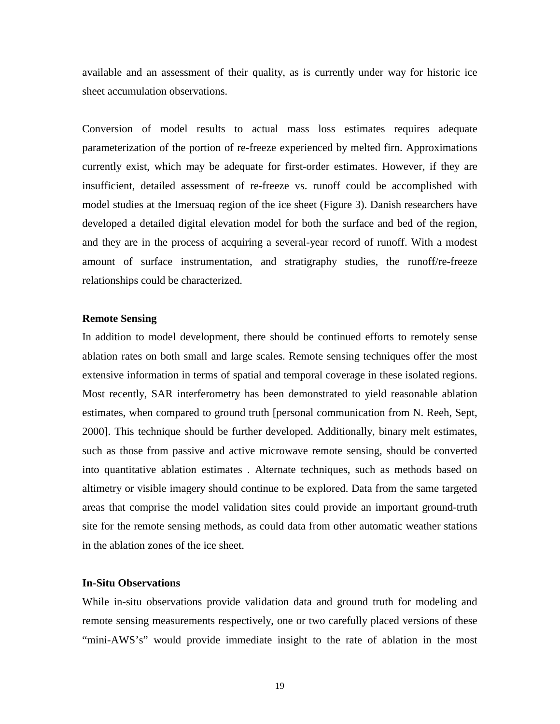available and an assessment of their quality, as is currently under way for historic ice sheet accumulation observations.

Conversion of model results to actual mass loss estimates requires adequate parameterization of the portion of re-freeze experienced by melted firn. Approximations currently exist, which may be adequate for first-order estimates. However, if they are insufficient, detailed assessment of re-freeze vs. runoff could be accomplished with model studies at the Imersuaq region of the ice sheet (Figure 3). Danish researchers have developed a detailed digital elevation model for both the surface and bed of the region, and they are in the process of acquiring a several-year record of runoff. With a modest amount of surface instrumentation, and stratigraphy studies, the runoff/re-freeze relationships could be characterized.

## **Remote Sensing**

In addition to model development, there should be continued efforts to remotely sense ablation rates on both small and large scales. Remote sensing techniques offer the most extensive information in terms of spatial and temporal coverage in these isolated regions. Most recently, SAR interferometry has been demonstrated to yield reasonable ablation estimates, when compared to ground truth [personal communication from N. Reeh, Sept, 2000]. This technique should be further developed. Additionally, binary melt estimates, such as those from passive and active microwave remote sensing, should be converted into quantitative ablation estimates . Alternate techniques, such as methods based on altimetry or visible imagery should continue to be explored. Data from the same targeted areas that comprise the model validation sites could provide an important ground-truth site for the remote sensing methods, as could data from other automatic weather stations in the ablation zones of the ice sheet.

## **In-Situ Observations**

While in-situ observations provide validation data and ground truth for modeling and remote sensing measurements respectively, one or two carefully placed versions of these "mini-AWS's" would provide immediate insight to the rate of ablation in the most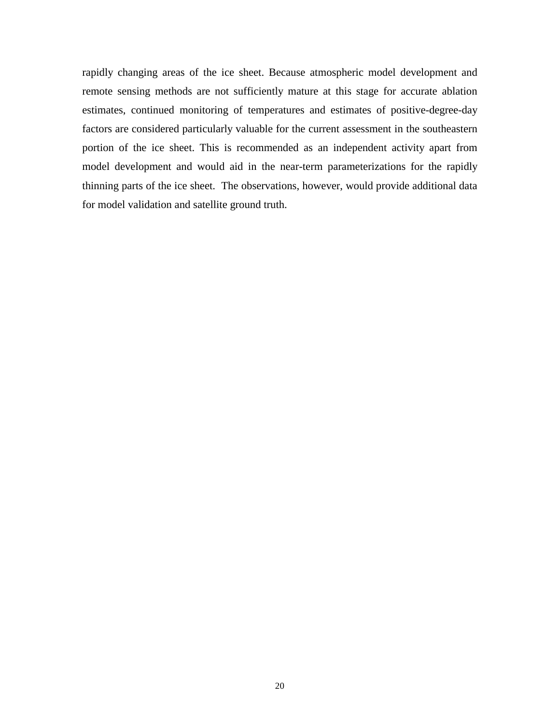rapidly changing areas of the ice sheet. Because atmospheric model development and remote sensing methods are not sufficiently mature at this stage for accurate ablation estimates, continued monitoring of temperatures and estimates of positive-degree-day factors are considered particularly valuable for the current assessment in the southeastern portion of the ice sheet. This is recommended as an independent activity apart from model development and would aid in the near-term parameterizations for the rapidly thinning parts of the ice sheet. The observations, however, would provide additional data for model validation and satellite ground truth.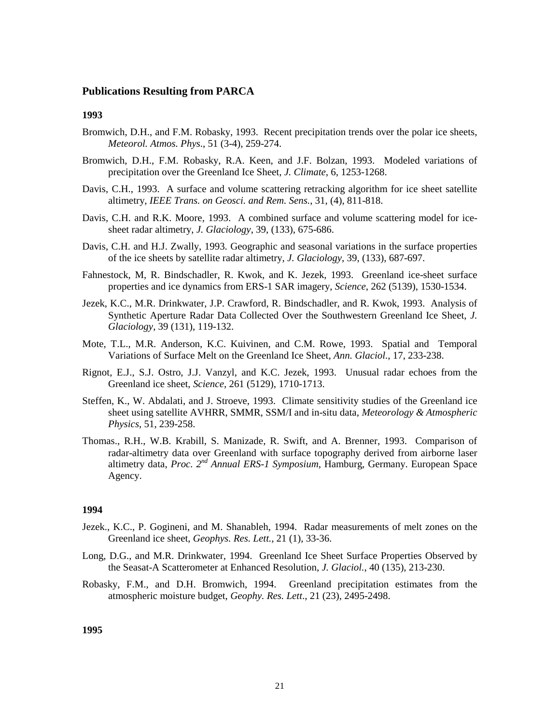#### <span id="page-23-0"></span>**Publications Resulting from PARCA**

#### **1993**

- Bromwich, D.H., and F.M. Robasky, 1993. Recent precipitation trends over the polar ice sheets, *Meteorol. Atmos. Phys*., 51 (3-4), 259-274.
- Bromwich, D.H., F.M. Robasky, R.A. Keen, and J.F. Bolzan, 1993. Modeled variations of precipitation over the Greenland Ice Sheet, *J. Climate*, 6, 1253-1268.
- Davis, C.H., 1993. A surface and volume scattering retracking algorithm for ice sheet satellite altimetry, *IEEE Trans. on Geosci. and Rem. Sens.*, 31, (4), 811-818.
- Davis, C.H. and R.K. Moore, 1993. A combined surface and volume scattering model for icesheet radar altimetry, *J. Glaciology*, 39, (133), 675-686.
- Davis, C.H. and H.J. Zwally, 1993. Geographic and seasonal variations in the surface properties of the ice sheets by satellite radar altimetry, *J. Glaciology*, 39, (133), 687-697.
- Fahnestock, M, R. Bindschadler, R. Kwok, and K. Jezek, 1993. Greenland ice-sheet surface properties and ice dynamics from ERS-1 SAR imagery, *Science*, 262 (5139), 1530-1534.
- Jezek, K.C., M.R. Drinkwater, J.P. Crawford, R. Bindschadler, and R. Kwok, 1993. Analysis of Synthetic Aperture Radar Data Collected Over the Southwestern Greenland Ice Sheet, *J. Glaciology*, 39 (131), 119-132.
- Mote, T.L., M.R. Anderson, K.C. Kuivinen, and C.M. Rowe, 1993. Spatial and Temporal Variations of Surface Melt on the Greenland Ice Sheet, *Ann. Glaciol.*, 17, 233-238.
- Rignot, E.J., S.J. Ostro, J.J. Vanzyl, and K.C. Jezek, 1993. Unusual radar echoes from the Greenland ice sheet, *Science*, 261 (5129), 1710-1713.
- Steffen, K., W. Abdalati, and J. Stroeve, 1993. Climate sensitivity studies of the Greenland ice sheet using satellite AVHRR, SMMR, SSM/I and in-situ data, *Meteorology & Atmospheric Physics*, 51, 239-258.
- Thomas., R.H., W.B. Krabill, S. Manizade, R. Swift, and A. Brenner, 1993. Comparison of radar-altimetry data over Greenland with surface topography derived from airborne laser altimetry data, *Proc. 2nd Annual ERS-1 Symposium*, Hamburg, Germany. European Space Agency.

#### **1994**

- Jezek., K.C., P. Gogineni, and M. Shanableh, 1994. Radar measurements of melt zones on the Greenland ice sheet, *Geophys. Res. Lett.*, 21 (1), 33-36.
- Long, D.G., and M.R. Drinkwater, 1994. Greenland Ice Sheet Surface Properties Observed by the Seasat-A Scatterometer at Enhanced Resolution, *J. Glaciol.*, 40 (135), 213-230.
- Robasky, F.M., and D.H. Bromwich, 1994. Greenland precipitation estimates from the atmospheric moisture budget, *Geophy. Res. Lett*., 21 (23), 2495-2498.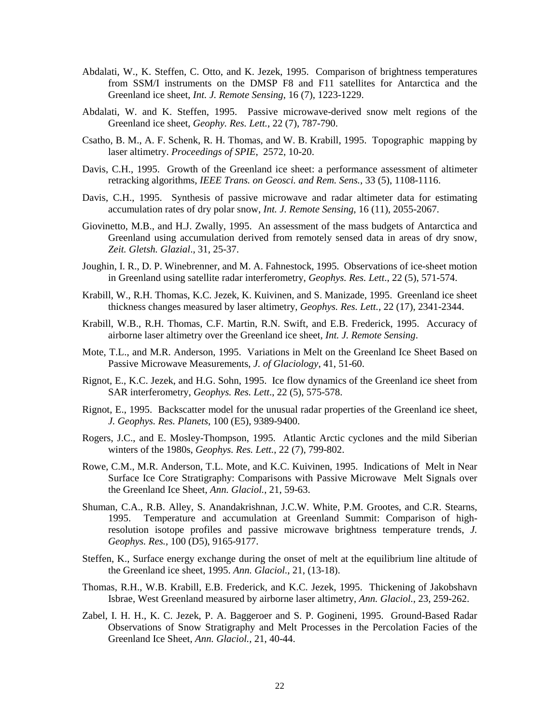- Abdalati, W., K. Steffen, C. Otto, and K. Jezek, 1995. Comparison of brightness temperatures from SSM/I instruments on the DMSP F8 and F11 satellites for Antarctica and the Greenland ice sheet, *Int. J. Remote Sensing*, 16 (7), 1223-1229.
- Abdalati, W. and K. Steffen, 1995. Passive microwave-derived snow melt regions of the Greenland ice sheet, *Geophy. Res. Lett.*, 22 (7), 787-790.
- Csatho, B. M., A. F. Schenk, R. H. Thomas, and W. B. Krabill, 1995. Topographic mapping by laser altimetry. *Proceedings of SPIE*, 2572, 10-20.
- Davis, C.H., 1995. Growth of the Greenland ice sheet: a performance assessment of altimeter retracking algorithms, *IEEE Trans. on Geosci. and Rem. Sens.*, 33 (5), 1108-1116.
- Davis, C.H., 1995. Synthesis of passive microwave and radar altimeter data for estimating accumulation rates of dry polar snow, *Int. J. Remote Sensing*, 16 (11), 2055-2067.
- Giovinetto, M.B., and H.J. Zwally, 1995. An assessment of the mass budgets of Antarctica and Greenland using accumulation derived from remotely sensed data in areas of dry snow, *Zeit. Gletsh. Glazial*., 31, 25-37.
- Joughin, I. R., D. P. Winebrenner, and M. A. Fahnestock, 1995. Observations of ice-sheet motion in Greenland using satellite radar interferometry, *Geophys. Res. Lett*., 22 (5), 571-574.
- Krabill, W., R.H. Thomas, K.C. Jezek, K. Kuivinen, and S. Manizade, 1995. Greenland ice sheet thickness changes measured by laser altimetry, *Geophys. Res. Lett.,* 22 (17), 2341-2344.
- Krabill, W.B., R.H. Thomas, C.F. Martin, R.N. Swift, and E.B. Frederick, 1995. Accuracy of airborne laser altimetry over the Greenland ice sheet*, Int. J. Remote Sensing*.
- Mote, T.L., and M.R. Anderson, 1995. Variations in Melt on the Greenland Ice Sheet Based on Passive Microwave Measurements, *J. of Glaciology*, 41, 51-60.
- Rignot, E., K.C. Jezek, and H.G. Sohn, 1995. Ice flow dynamics of the Greenland ice sheet from SAR interferometry, *Geophys. Res. Lett*., 22 (5), 575-578.
- Rignot, E., 1995. Backscatter model for the unusual radar properties of the Greenland ice sheet, *J. Geophys. Res. Planets*, 100 (E5), 9389-9400.
- Rogers, J.C., and E. Mosley-Thompson, 1995. Atlantic Arctic cyclones and the mild Siberian winters of the 1980s, *Geophys. Res. Lett.*, 22 (7), 799-802.
- Rowe, C.M., M.R. Anderson, T.L. Mote, and K.C. Kuivinen, 1995. Indications of Melt in Near Surface Ice Core Stratigraphy: Comparisons with Passive Microwave Melt Signals over the Greenland Ice Sheet, *Ann. Glaciol.*, 21, 59-63.
- Shuman, C.A., R.B. Alley, S. Anandakrishnan, J.C.W. White, P.M. Grootes, and C.R. Stearns, 1995. Temperature and accumulation at Greenland Summit: Comparison of highresolution isotope profiles and passive microwave brightness temperature trends, *J. Geophys. Res.,* 100 (D5), 9165-9177.
- Steffen, K., Surface energy exchange during the onset of melt at the equilibrium line altitude of the Greenland ice sheet, 1995. *Ann. Glaciol.*, 21, (13-18).
- Thomas, R.H., W.B. Krabill, E.B. Frederick, and K.C. Jezek, 1995. Thickening of Jakobshavn Isbrae, West Greenland measured by airborne laser altimetry, *Ann. Glaciol.*, 23, 259-262.
- Zabel, I. H. H., K. C. Jezek, P. A. Baggeroer and S. P. Gogineni, 1995. Ground-Based Radar Observations of Snow Stratigraphy and Melt Processes in the Percolation Facies of the Greenland Ice Sheet, *Ann. Glaciol.,* 21, 40-44.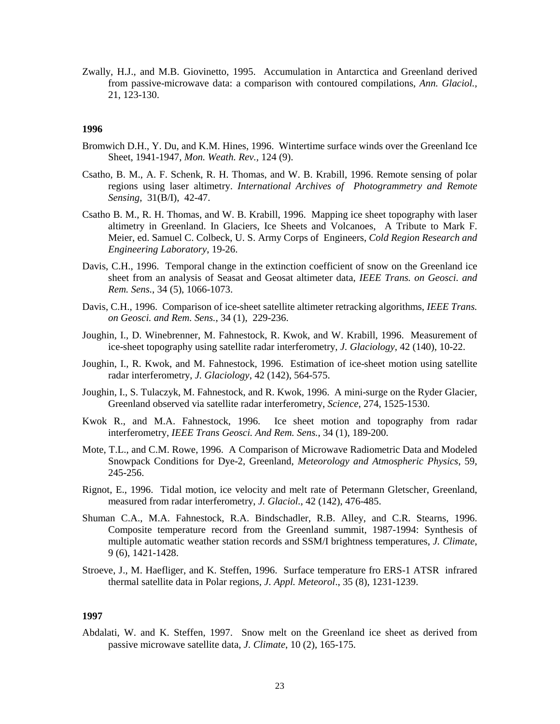Zwally, H.J., and M.B. Giovinetto, 1995. Accumulation in Antarctica and Greenland derived from passive-microwave data: a comparison with contoured compilations, *Ann. Glaciol.,*  21, 123-130.

#### **1996**

- Bromwich D.H., Y. Du, and K.M. Hines, 1996. Wintertime surface winds over the Greenland Ice Sheet, 1941-1947, *Mon. Weath. Rev.,* 124 (9).
- Csatho, B. M., A. F. Schenk, R. H. Thomas, and W. B. Krabill, 1996. Remote sensing of polar regions using laser altimetry. *International Archives of Photogrammetry and Remote Sensing*, 31(B/I), 42-47.
- Csatho B. M., R. H. Thomas, and W. B. Krabill, 1996. Mapping ice sheet topography with laser altimetry in Greenland. In Glaciers, Ice Sheets and Volcanoes, A Tribute to Mark F. Meier, ed. Samuel C. Colbeck, U. S. Army Corps of Engineers, *Cold Region Research and Engineering Laboratory*, 19-26.
- Davis, C.H., 1996. Temporal change in the extinction coefficient of snow on the Greenland ice sheet from an analysis of Seasat and Geosat altimeter data, *IEEE Trans. on Geosci. and Rem. Sens.*, 34 (5), 1066-1073.
- Davis, C.H., 1996. Comparison of ice-sheet satellite altimeter retracking algorithms, *IEEE Trans. on Geosci. and Rem. Sens.*, 34 (1), 229-236.
- Joughin, I., D. Winebrenner, M. Fahnestock, R. Kwok, and W. Krabill, 1996. Measurement of ice-sheet topography using satellite radar interferometry, *J. Glaciology*, 42 (140), 10-22.
- Joughin, I., R. Kwok, and M. Fahnestock, 1996. Estimation of ice-sheet motion using satellite radar interferometry, *J. Glaciology*, 42 (142), 564-575.
- Joughin, I., S. Tulaczyk, M. Fahnestock, and R. Kwok, 1996. A mini-surge on the Ryder Glacier, Greenland observed via satellite radar interferometry, *Science*, 274, 1525-1530.
- Kwok R., and M.A. Fahnestock, 1996. Ice sheet motion and topography from radar interferometry, *IEEE Trans Geosci. And Rem. Sens.*, 34 (1), 189-200.
- Mote, T.L., and C.M. Rowe, 1996. A Comparison of Microwave Radiometric Data and Modeled Snowpack Conditions for Dye-2, Greenland, *Meteorology and Atmospheric Physics*, 59, 245-256.
- Rignot, E., 1996. Tidal motion, ice velocity and melt rate of Petermann Gletscher, Greenland, measured from radar interferometry, *J. Glaciol.*, 42 (142), 476-485.
- Shuman C.A., M.A. Fahnestock, R.A. Bindschadler, R.B. Alley, and C.R. Stearns, 1996. Composite temperature record from the Greenland summit, 1987-1994: Synthesis of multiple automatic weather station records and SSM/I brightness temperatures, *J. Climate*, 9 (6), 1421-1428.
- Stroeve, J., M. Haefliger, and K. Steffen, 1996. Surface temperature fro ERS-1 ATSR infrared thermal satellite data in Polar regions, *J. Appl. Meteorol*., 35 (8), 1231-1239.

## **1997**

Abdalati, W. and K. Steffen, 1997. Snow melt on the Greenland ice sheet as derived from passive microwave satellite data, *J. Climate*, 10 (2), 165-175.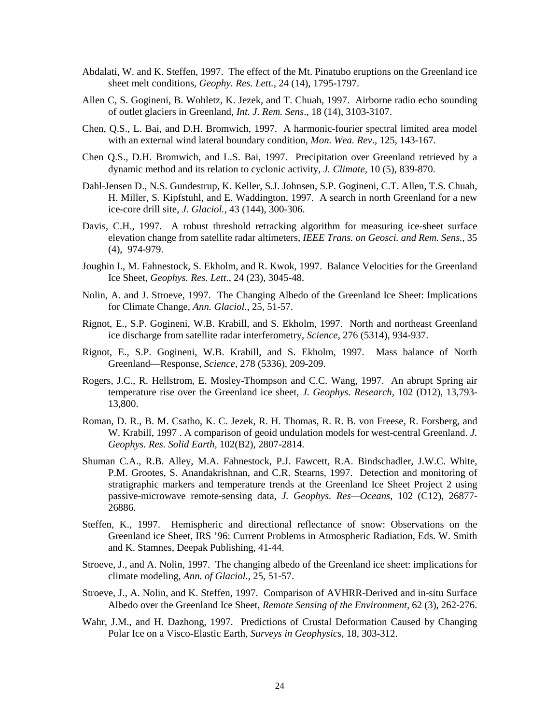- Abdalati, W. and K. Steffen, 1997. The effect of the Mt. Pinatubo eruptions on the Greenland ice sheet melt conditions, *Geophy. Res. Lett.*, 24 (14), 1795-1797.
- Allen C, S. Gogineni, B. Wohletz, K. Jezek, and T. Chuah, 1997. Airborne radio echo sounding of outlet glaciers in Greenland, *Int. J. Rem. Sens*., 18 (14), 3103-3107.
- Chen, Q.S., L. Bai, and D.H. Bromwich, 1997. A harmonic-fourier spectral limited area model with an external wind lateral boundary condition, *Mon. Wea. Rev*., 125, 143-167.
- Chen Q.S., D.H. Bromwich, and L.S. Bai, 1997. Precipitation over Greenland retrieved by a dynamic method and its relation to cyclonic activity, *J. Climate,* 10 (5), 839-870.
- Dahl-Jensen D., N.S. Gundestrup, K. Keller, S.J. Johnsen, S.P. Gogineni, C.T. Allen, T.S. Chuah, H. Miller, S. Kipfstuhl, and E. Waddington, 1997. A search in north Greenland for a new ice-core drill site, *J. Glaciol.,* 43 (144), 300-306.
- Davis, C.H., 1997. A robust threshold retracking algorithm for measuring ice-sheet surface elevation change from satellite radar altimeters, *IEEE Trans. on Geosci. and Rem. Sens.*, 35 (4), 974-979.
- Joughin I., M. Fahnestock, S. Ekholm, and R. Kwok, 1997. Balance Velocities for the Greenland Ice Sheet, *Geophys. Res. Lett*., 24 (23), 3045-48.
- Nolin, A. and J. Stroeve, 1997. The Changing Albedo of the Greenland Ice Sheet: Implications for Climate Change, *Ann. Glaciol.*, 25, 51-57.
- Rignot, E., S.P. Gogineni, W.B. Krabill, and S. Ekholm, 1997. North and northeast Greenland ice discharge from satellite radar interferometry, *Science*, 276 (5314), 934-937.
- Rignot, E., S.P. Gogineni, W.B. Krabill, and S. Ekholm, 1997. Mass balance of North Greenland—Response, *Science*, 278 (5336), 209-209.
- Rogers, J.C., R. Hellstrom, E. Mosley-Thompson and C.C. Wang, 1997. An abrupt Spring air temperature rise over the Greenland ice sheet, *J. Geophys. Research,* 102 (D12), 13,793- 13,800.
- Roman, D. R., B. M. Csatho, K. C. Jezek, R. H. Thomas, R. R. B. von Freese, R. Forsberg, and W. Krabill, 1997 . A comparison of geoid undulation models for west-central Greenland. *J. Geophys. Res. Solid Earth*, 102(B2), 2807-2814.
- Shuman C.A., R.B. Alley, M.A. Fahnestock, P.J. Fawcett, R.A. Bindschadler, J.W.C. White, P.M. Grootes, S. Anandakrishnan, and C.R. Stearns, 1997. Detection and monitoring of stratigraphic markers and temperature trends at the Greenland Ice Sheet Project 2 using passive-microwave remote-sensing data, *J. Geophys. Res—Oceans*, 102 (C12), 26877- 26886.
- Steffen, K., 1997. Hemispheric and directional reflectance of snow: Observations on the Greenland ice Sheet, IRS '96: Current Problems in Atmospheric Radiation, Eds. W. Smith and K. Stamnes, Deepak Publishing, 41-44.
- Stroeve, J., and A. Nolin, 1997. The changing albedo of the Greenland ice sheet: implications for climate modeling, *Ann. of Glaciol.,* 25, 51-57.
- Stroeve, J., A. Nolin, and K. Steffen, 1997. Comparison of AVHRR-Derived and in-situ Surface Albedo over the Greenland Ice Sheet, *Remote Sensing of the Environment*, 62 (3), 262-276.
- Wahr, J.M., and H. Dazhong, 1997. Predictions of Crustal Deformation Caused by Changing Polar Ice on a Visco-Elastic Earth, *Surveys in Geophysics*, 18, 303-312.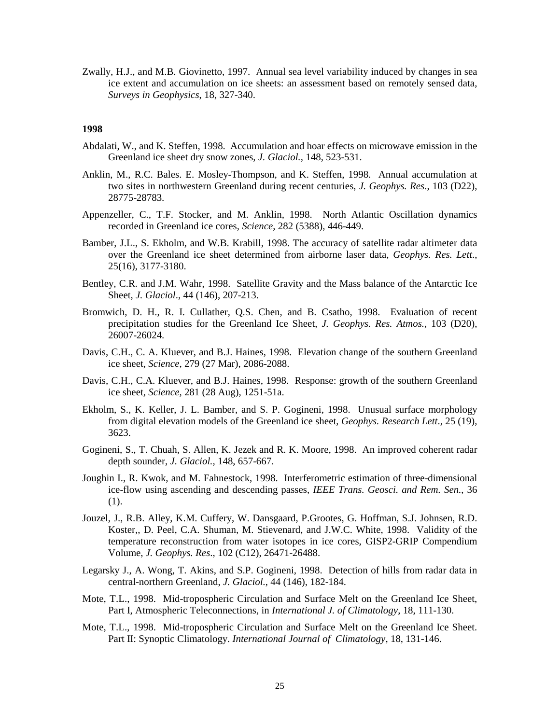Zwally, H.J., and M.B. Giovinetto, 1997. Annual sea level variability induced by changes in sea ice extent and accumulation on ice sheets: an assessment based on remotely sensed data, *Surveys in Geophysics*, 18, 327-340.

- Abdalati, W., and K. Steffen, 1998. Accumulation and hoar effects on microwave emission in the Greenland ice sheet dry snow zones, *J. Glaciol.,* 148, 523-531.
- Anklin, M., R.C. Bales. E. Mosley-Thompson, and K. Steffen, 1998. Annual accumulation at two sites in northwestern Greenland during recent centuries, *J. Geophys. Res*., 103 (D22), 28775-28783.
- Appenzeller, C., T.F. Stocker, and M. Anklin, 1998. North Atlantic Oscillation dynamics recorded in Greenland ice cores, *Science*, 282 (5388), 446-449.
- Bamber, J.L., S. Ekholm, and W.B. Krabill, 1998. The accuracy of satellite radar altimeter data over the Greenland ice sheet determined from airborne laser data, *Geophys. Res. Lett*., 25(16), 3177-3180.
- Bentley, C.R. and J.M. Wahr, 1998. Satellite Gravity and the Mass balance of the Antarctic Ice Sheet, *J. Glaciol*., 44 (146), 207-213.
- Bromwich, D. H., R. I. Cullather, Q.S. Chen, and B. Csatho, 1998. Evaluation of recent precipitation studies for the Greenland Ice Sheet, *J. Geophys. Res. Atmos.*, 103 (D20), 26007-26024.
- Davis, C.H., C. A. Kluever, and B.J. Haines, 1998. Elevation change of the southern Greenland ice sheet, *Science*, 279 (27 Mar), 2086-2088.
- Davis, C.H., C.A. Kluever, and B.J. Haines, 1998. Response: growth of the southern Greenland ice sheet, *Science,* 281 (28 Aug), 1251-51a.
- Ekholm, S., K. Keller, J. L. Bamber, and S. P. Gogineni, 1998. Unusual surface morphology from digital elevation models of the Greenland ice sheet, *Geophys. Research Lett*., 25 (19), 3623.
- Gogineni, S., T. Chuah, S. Allen, K. Jezek and R. K. Moore, 1998. An improved coherent radar depth sounder, *J. Glaciol.,* 148, 657-667.
- Joughin I., R. Kwok, and M. Fahnestock, 1998. Interferometric estimation of three-dimensional ice-flow using ascending and descending passes, *IEEE Trans. Geosci. and Rem. Sen.*, 36 (1).
- Jouzel, J., R.B. Alley, K.M. Cuffery, W. Dansgaard, P.Grootes, G. Hoffman, S.J. Johnsen, R.D. Koster,, D. Peel, C.A. Shuman, M. Stievenard, and J.W.C. White, 1998. Validity of the temperature reconstruction from water isotopes in ice cores, GISP2-GRIP Compendium Volume, *J. Geophys. Res*., 102 (C12), 26471-26488.
- Legarsky J., A. Wong, T. Akins, and S.P. Gogineni, 1998. Detection of hills from radar data in central-northern Greenland, *J. Glaciol.*, 44 (146), 182-184.
- Mote, T.L., 1998. Mid-tropospheric Circulation and Surface Melt on the Greenland Ice Sheet, Part I, Atmospheric Teleconnections, in *International J. of Climatology*, 18, 111-130.
- Mote, T.L., 1998. Mid-tropospheric Circulation and Surface Melt on the Greenland Ice Sheet. Part II: Synoptic Climatology. *International Journal of Climatology*, 18, 131-146.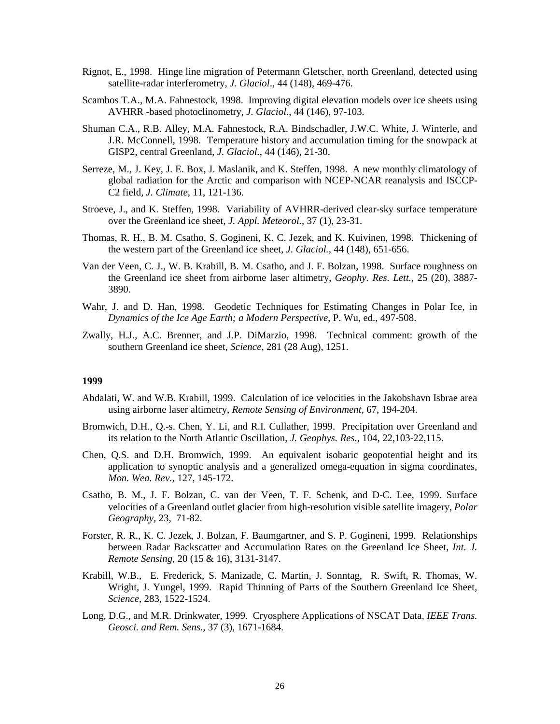- Rignot, E., 1998. Hinge line migration of Petermann Gletscher, north Greenland, detected using satellite-radar interferometry, *J. Glaciol*., 44 (148), 469-476.
- Scambos T.A., M.A. Fahnestock, 1998. Improving digital elevation models over ice sheets using AVHRR -based photoclinometry, *J. Glaciol*., 44 (146), 97-103.
- Shuman C.A., R.B. Alley, M.A. Fahnestock, R.A. Bindschadler, J.W.C. White, J. Winterle, and J.R. McConnell, 1998. Temperature history and accumulation timing for the snowpack at GISP2, central Greenland, *J. Glaciol.*, 44 (146), 21-30.
- Serreze, M., J. Key, J. E. Box, J. Maslanik, and K. Steffen, 1998. A new monthly climatology of global radiation for the Arctic and comparison with NCEP-NCAR reanalysis and ISCCP-C2 field*, J. Climate*, 11, 121-136.
- Stroeve, J., and K. Steffen, 1998. Variability of AVHRR-derived clear-sky surface temperature over the Greenland ice sheet, *J. Appl. Meteorol.*, 37 (1), 23-31.
- Thomas, R. H., B. M. Csatho, S. Gogineni, K. C. Jezek, and K. Kuivinen, 1998. Thickening of the western part of the Greenland ice sheet, *J. Glaciol.,* 44 (148), 651-656.
- Van der Veen, C. J., W. B. Krabill, B. M. Csatho, and J. F. Bolzan, 1998. Surface roughness on the Greenland ice sheet from airborne laser altimetry, *Geophy. Res. Lett.*, 25 (20), 3887- 3890.
- Wahr, J. and D. Han, 1998. Geodetic Techniques for Estimating Changes in Polar Ice, in *Dynamics of the Ice Age Earth; a Modern Perspective*, P. Wu, ed., 497-508.
- Zwally, H.J., A.C. Brenner, and J.P. DiMarzio, 1998. Technical comment: growth of the southern Greenland ice sheet, *Science*, 281 (28 Aug), 1251.

- Abdalati, W. and W.B. Krabill, 1999. Calculation of ice velocities in the Jakobshavn Isbrae area using airborne laser altimetry, *Remote Sensing of Environment*, 67, 194-204.
- Bromwich, D.H., Q.-s. Chen, Y. Li, and R.I. Cullather, 1999. Precipitation over Greenland and its relation to the North Atlantic Oscillation, *J. Geophys. Res.*, 104, 22,103-22,115.
- Chen, Q.S. and D.H. Bromwich, 1999. An equivalent isobaric geopotential height and its application to synoptic analysis and a generalized omega-equation in sigma coordinates, *Mon. Wea. Rev.,* 127, 145-172.
- Csatho, B. M., J. F. Bolzan, C. van der Veen, T. F. Schenk, and D-C. Lee, 1999. Surface velocities of a Greenland outlet glacier from high-resolution visible satellite imagery, *Polar Geography*, 23, 71-82.
- Forster, R. R., K. C. Jezek, J. Bolzan, F. Baumgartner, and S. P. Gogineni, 1999. Relationships between Radar Backscatter and Accumulation Rates on the Greenland Ice Sheet, *Int. J. Remote Sensing,* 20 (15 & 16), 3131-3147.
- Krabill, W.B., E. Frederick, S. Manizade, C. Martin, J. Sonntag, R. Swift, R. Thomas, W. Wright, J. Yungel, 1999. Rapid Thinning of Parts of the Southern Greenland Ice Sheet, *Science*, 283, 1522-1524.
- Long, D.G., and M.R. Drinkwater, 1999. Cryosphere Applications of NSCAT Data*, IEEE Trans. Geosci. and Rem. Sens.*, 37 (3), 1671-1684.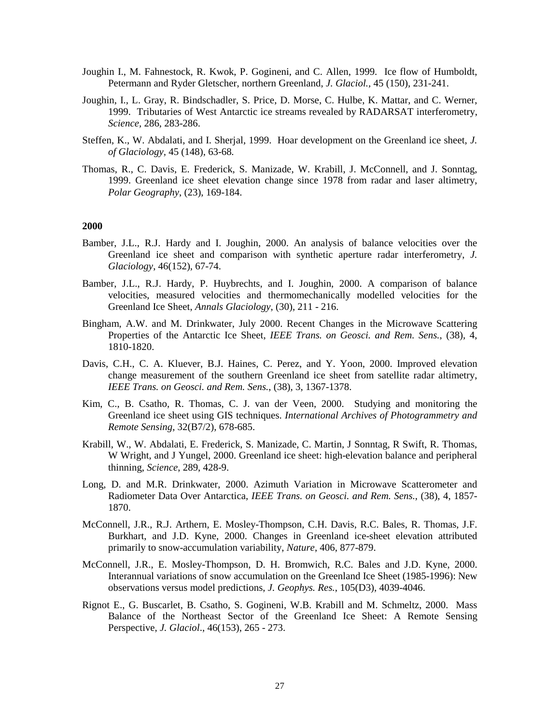- Joughin I., M. Fahnestock, R. Kwok, P. Gogineni, and C. Allen, 1999. Ice flow of Humboldt, Petermann and Ryder Gletscher, northern Greenland, *J. Glaciol.,* 45 (150), 231-241.
- Joughin, I., L. Gray, R. Bindschadler, S. Price, D. Morse, C. Hulbe, K. Mattar, and C. Werner, 1999. Tributaries of West Antarctic ice streams revealed by RADARSAT interferometry, *Science,* 286, 283-286.
- Steffen, K., W. Abdalati, and I. Sherjal, 1999. Hoar development on the Greenland ice sheet, *J. of Glaciology,* 45 (148), 63-68*.*
- Thomas, R., C. Davis, E. Frederick, S. Manizade, W. Krabill, J. McConnell, and J. Sonntag, 1999. Greenland ice sheet elevation change since 1978 from radar and laser altimetry, *Polar Geography*, (23), 169-184.

- Bamber, J.L., R.J. Hardy and I. Joughin, 2000. An analysis of balance velocities over the Greenland ice sheet and comparison with synthetic aperture radar interferometry, *J. Glaciology*, 46(152), 67-74.
- Bamber, J.L., R.J. Hardy, P. Huybrechts, and I. Joughin, 2000. A comparison of balance velocities, measured velocities and thermomechanically modelled velocities for the Greenland Ice Sheet, *Annals Glaciology*, (30), 211 - 216.
- Bingham, A.W. and M. Drinkwater, July 2000. Recent Changes in the Microwave Scattering Properties of the Antarctic Ice Sheet, *IEEE Trans. on Geosci. and Rem. Sens.*, (38), 4, 1810-1820.
- Davis, C.H., C. A. Kluever, B.J. Haines, C. Perez, and Y. Yoon, 2000. Improved elevation change measurement of the southern Greenland ice sheet from satellite radar altimetry, *IEEE Trans. on Geosci. and Rem. Sens.*, (38), 3, 1367-1378.
- Kim, C., B. Csatho, R. Thomas, C. J. van der Veen, 2000. Studying and monitoring the Greenland ice sheet using GIS techniques. *International Archives of Photogrammetry and Remote Sensing*, 32(B7/2), 678-685.
- Krabill, W., W. Abdalati, E. Frederick, S. Manizade, C. Martin, J Sonntag, R Swift, R. Thomas, W Wright, and J Yungel, 2000. Greenland ice sheet: high-elevation balance and peripheral thinning, *Science*, 289, 428-9.
- Long, D. and M.R. Drinkwater, 2000. Azimuth Variation in Microwave Scatterometer and Radiometer Data Over Antarctica, *IEEE Trans. on Geosci. and Rem. Sens.*, (38), 4, 1857- 1870.
- McConnell, J.R., R.J. Arthern, E. Mosley-Thompson, C.H. Davis, R.C. Bales, R. Thomas, J.F. Burkhart, and J.D. Kyne, 2000. Changes in Greenland ice-sheet elevation attributed primarily to snow-accumulation variability, *Nature*, 406, 877-879.
- McConnell, J.R., E. Mosley-Thompson, D. H. Bromwich, R.C. Bales and J.D. Kyne, 2000. Interannual variations of snow accumulation on the Greenland Ice Sheet (1985-1996): New observations versus model predictions, *J. Geophys. Res.*, 105(D3), 4039-4046.
- Rignot E., G. Buscarlet, B. Csatho, S. Gogineni, W.B. Krabill and M. Schmeltz, 2000. Mass Balance of the Northeast Sector of the Greenland Ice Sheet: A Remote Sensing Perspective, *J. Glaciol*., 46(153), 265 - 273.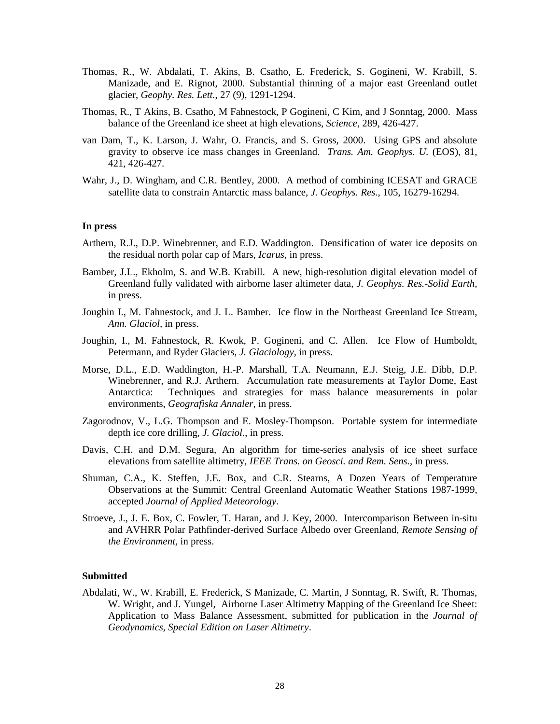- Thomas, R., W. Abdalati, T. Akins, B. Csatho, E. Frederick, S. Gogineni, W. Krabill, S. Manizade, and E. Rignot, 2000. Substantial thinning of a major east Greenland outlet glacier, *Geophy. Res. Lett.*, 27 (9), 1291-1294.
- Thomas, R., T Akins, B. Csatho, M Fahnestock, P Gogineni, C Kim, and J Sonntag, 2000. Mass balance of the Greenland ice sheet at high elevations, *Science*, 289, 426-427.
- van Dam, T., K. Larson, J. Wahr, O. Francis, and S. Gross, 2000. Using GPS and absolute gravity to observe ice mass changes in Greenland. *Trans. Am. Geophys. U.* (EOS), 81, 421, 426-427.
- Wahr, J., D. Wingham, and C.R. Bentley, 2000. A method of combining ICESAT and GRACE satellite data to constrain Antarctic mass balance, *J. Geophys. Res.*, 105, 16279-16294.

#### **In press**

- Arthern, R.J., D.P. Winebrenner, and E.D. Waddington. Densification of water ice deposits on the residual north polar cap of Mars, *Icarus*, in press.
- Bamber, J.L., Ekholm, S. and W.B. Krabill. A new, high-resolution digital elevation model of Greenland fully validated with airborne laser altimeter data, *J. Geophys. Res.-Solid Earth,*  in press.
- Joughin I., M. Fahnestock, and J. L. Bamber. Ice flow in the Northeast Greenland Ice Stream, *Ann. Glaciol,* in press.
- Joughin, I., M. Fahnestock, R. Kwok, P. Gogineni, and C. Allen. Ice Flow of Humboldt, Petermann, and Ryder Glaciers, *J. Glaciology,* in press.
- Morse, D.L., E.D. Waddington, H.-P. Marshall, T.A. Neumann, E.J. Steig, J.E. Dibb, D.P. Winebrenner, and R.J. Arthern. Accumulation rate measurements at Taylor Dome, East Antarctica: Techniques and strategies for mass balance measurements in polar environments, *Geografiska Annaler*, in press.
- Zagorodnov, V., L.G. Thompson and E. Mosley-Thompson. Portable system for intermediate depth ice core drilling, *J. Glaciol*., in press.
- Davis, C.H. and D.M. Segura, An algorithm for time-series analysis of ice sheet surface elevations from satellite altimetry, *IEEE Trans. on Geosci. and Rem. Sens.*, in press.
- Shuman, C.A., K. Steffen, J.E. Box, and C.R. Stearns, A Dozen Years of Temperature Observations at the Summit: Central Greenland Automatic Weather Stations 1987-1999, accepted *Journal of Applied Meteorology.*
- Stroeve, J., J. E. Box, C. Fowler, T. Haran, and J. Key, 2000. Intercomparison Between in-situ and AVHRR Polar Pathfinder-derived Surface Albedo over Greenland, *Remote Sensing of the Environment*, in press.

#### **Submitted**

Abdalati, W., W. Krabill, E. Frederick, S Manizade, C. Martin, J Sonntag, R. Swift, R. Thomas, W. Wright, and J. Yungel, Airborne Laser Altimetry Mapping of the Greenland Ice Sheet: Application to Mass Balance Assessment, submitted for publication in the *Journal of Geodynamics*, *Special Edition on Laser Altimetry*.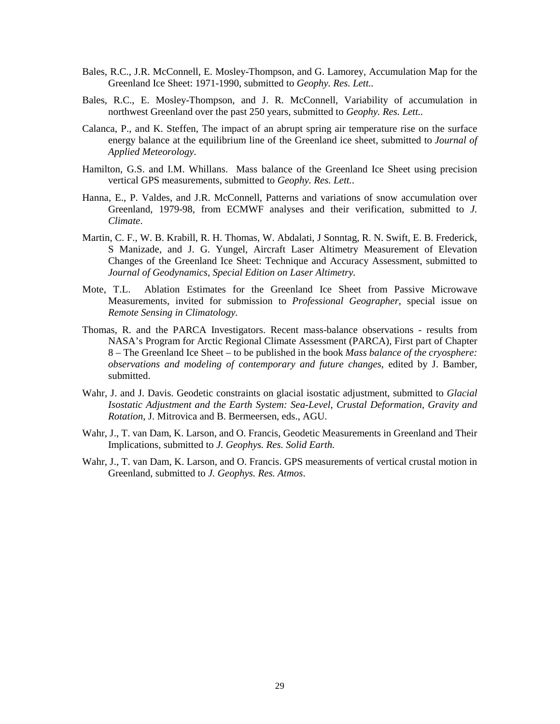- Bales, R.C., J.R. McConnell, E. Mosley-Thompson, and G. Lamorey, Accumulation Map for the Greenland Ice Sheet: 1971-1990, submitted to *Geophy. Res. Lett..*
- Bales, R.C., E. Mosley-Thompson, and J. R. McConnell, Variability of accumulation in northwest Greenland over the past 250 years, submitted to *Geophy. Res. Lett..*
- Calanca, P., and K. Steffen, The impact of an abrupt spring air temperature rise on the surface energy balance at the equilibrium line of the Greenland ice sheet, submitted to *Journal of Applied Meteorology.*
- Hamilton, G.S. and I.M. Whillans. Mass balance of the Greenland Ice Sheet using precision vertical GPS measurements, submitted to *Geophy. Res. Lett.*.
- Hanna, E., P. Valdes, and J.R. McConnell, Patterns and variations of snow accumulation over Greenland, 1979-98, from ECMWF analyses and their verification, submitted to *J. Climate*.
- Martin, C. F., W. B. Krabill, R. H. Thomas, W. Abdalati, J Sonntag, R. N. Swift, E. B. Frederick, S Manizade, and J. G. Yungel, Aircraft Laser Altimetry Measurement of Elevation Changes of the Greenland Ice Sheet: Technique and Accuracy Assessment, submitted to *Journal of Geodynamics, Special Edition on Laser Altimetry.*
- Mote, T.L. Ablation Estimates for the Greenland Ice Sheet from Passive Microwave Measurements, invited for submission to *Professional Geographer,* special issue on *Remote Sensing in Climatology.*
- Thomas, R. and the PARCA Investigators. Recent mass-balance observations results from NASA's Program for Arctic Regional Climate Assessment (PARCA), First part of Chapter 8 – The Greenland Ice Sheet – to be published in the book *Mass balance of the cryosphere: observations and modeling of contemporary and future changes*, edited by J. Bamber, submitted.
- Wahr, J. and J. Davis. Geodetic constraints on glacial isostatic adjustment, submitted to *Glacial Isostatic Adjustment and the Earth System: Sea-Level, Crustal Deformation, Gravity and Rotation*, J. Mitrovica and B. Bermeersen, eds., AGU.
- Wahr, J., T. van Dam, K. Larson, and O. Francis, Geodetic Measurements in Greenland and Their Implications, submitted to *J. Geophys. Res. Solid Earth.*
- Wahr, J., T. van Dam, K. Larson, and O. Francis. GPS measurements of vertical crustal motion in Greenland, submitted to *J. Geophys. Res. Atmos*.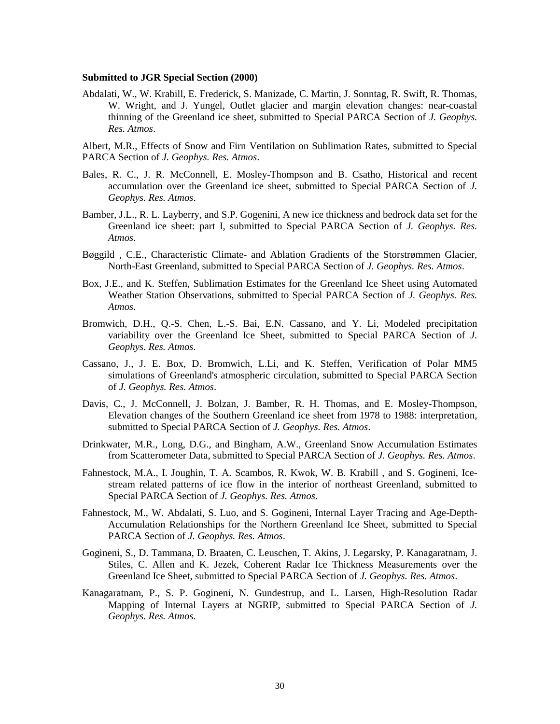#### **Submitted to JGR Special Section (2000)**

Abdalati, W., W. Krabill, E. Frederick, S. Manizade, C. Martin, J. Sonntag, R. Swift, R. Thomas, W. Wright, and J. Yungel, Outlet glacier and margin elevation changes: near-coastal thinning of the Greenland ice sheet, submitted to Special PARCA Section of *J. Geophys. Res. Atmos*.

Albert, M.R., Effects of Snow and Firn Ventilation on Sublimation Rates, submitted to Special PARCA Section of *J. Geophys. Res. Atmos*.

- Bales, R. C., J. R. McConnell, E. Mosley-Thompson and B. Csatho, Historical and recent accumulation over the Greenland ice sheet, submitted to Special PARCA Section of *J. Geophys. Res. Atmos*.
- Bamber, J.L., R. L. Layberry, and S.P. Gogenini, A new ice thickness and bedrock data set for the Greenland ice sheet: part I, submitted to Special PARCA Section of *J. Geophys. Res. Atmos*.
- Bøggild , C.E., Characteristic Climate- and Ablation Gradients of the Storstrømmen Glacier, North-East Greenland, submitted to Special PARCA Section of *J. Geophys. Res. Atmos*.
- Box, J.E., and K. Steffen, Sublimation Estimates for the Greenland Ice Sheet using Automated Weather Station Observations, submitted to Special PARCA Section of *J. Geophys. Res. Atmos*.
- Bromwich, D.H., Q.-S. Chen, L.-S. Bai, E.N. Cassano, and Y. Li, Modeled precipitation variability over the Greenland Ice Sheet, submitted to Special PARCA Section of *J. Geophys. Res. Atmos*.
- Cassano, J., J. E. Box, D. Bromwich, L.Li, and K. Steffen, Verification of Polar MM5 simulations of Greenland's atmospheric circulation, submitted to Special PARCA Section of *J. Geophys. Res. Atmos*.
- Davis, C., J. McConnell, J. Bolzan, J. Bamber, R. H. Thomas, and E. Mosley-Thompson, Elevation changes of the Southern Greenland ice sheet from 1978 to 1988: interpretation, submitted to Special PARCA Section of *J. Geophys. Res. Atmos*.
- Drinkwater, M.R., Long, D.G., and Bingham, A.W., Greenland Snow Accumulation Estimates from Scatterometer Data, submitted to Special PARCA Section of *J. Geophys. Res. Atmos*.
- Fahnestock, M.A., I. Joughin, T. A. Scambos, R. Kwok, W. B. Krabill , and S. Gogineni, Icestream related patterns of ice flow in the interior of northeast Greenland, submitted to Special PARCA Section of *J. Geophys. Res. Atmos*.
- Fahnestock, M., W. Abdalati, S. Luo, and S. Gogineni, Internal Layer Tracing and Age-Depth-Accumulation Relationships for the Northern Greenland Ice Sheet, submitted to Special PARCA Section of *J. Geophys. Res. Atmos*.
- Gogineni, S., D. Tammana, D. Braaten, C. Leuschen, T. Akins, J. Legarsky, P. Kanagaratnam, J. Stiles, C. Allen and K. Jezek, Coherent Radar Ice Thickness Measurements over the Greenland Ice Sheet, submitted to Special PARCA Section of *J. Geophys. Res. Atmos*.
- Kanagaratnam, P., S. P. Gogineni, N. Gundestrup, and L. Larsen, High-Resolution Radar Mapping of Internal Layers at NGRIP, submitted to Special PARCA Section of *J. Geophys. Res. Atmos.*